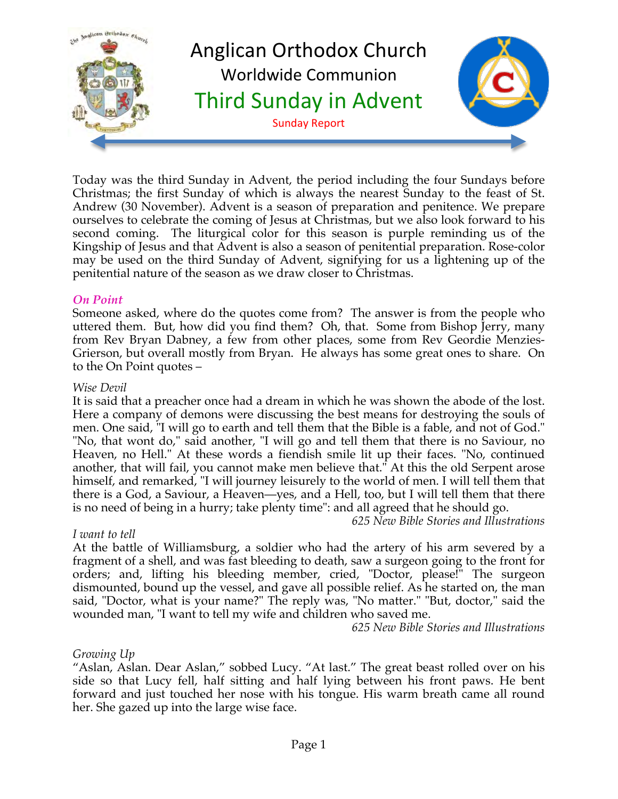

Today was the third Sunday in Advent, the period including the four Sundays before Christmas; the first Sunday of which is always the nearest Sunday to the feast of St. Andrew (30 November). Advent is a season of preparation and penitence. We prepare ourselves to celebrate the coming of Jesus at Christmas, but we also look forward to his second coming. The liturgical color for this season is purple reminding us of the Kingship of Jesus and that Advent is also a season of penitential preparation. Rose-color may be used on the third Sunday of Advent, signifying for us a lightening up of the penitential nature of the season as we draw closer to Christmas.

#### *On Point*

Someone asked, where do the quotes come from? The answer is from the people who uttered them. But, how did you find them? Oh, that. Some from Bishop Jerry, many from Rev Bryan Dabney, a few from other places, some from Rev Geordie Menzies-Grierson, but overall mostly from Bryan. He always has some great ones to share. On to the On Point quotes –

#### *Wise Devil*

It is said that a preacher once had a dream in which he was shown the abode of the lost. Here a company of demons were discussing the best means for destroying the souls of men. One said, "I will go to earth and tell them that the Bible is a fable, and not of God." "No, that wont do," said another, "I will go and tell them that there is no Saviour, no Heaven, no Hell." At these words a fiendish smile lit up their faces. "No, continued another, that will fail, you cannot make men believe that." At this the old Serpent arose himself, and remarked, "I will journey leisurely to the world of men. I will tell them that there is a God, a Saviour, a Heaven—yes, and a Hell, too, but I will tell them that there is no need of being in a hurry; take plenty time": and all agreed that he should go.

*625 New Bible Stories and Illustrations*

#### *I want to tell*

At the battle of Williamsburg, a soldier who had the artery of his arm severed by a fragment of a shell, and was fast bleeding to death, saw a surgeon going to the front for orders; and, lifting his bleeding member, cried, "Doctor, please!" The surgeon dismounted, bound up the vessel, and gave all possible relief. As he started on, the man said, "Doctor, what is your name?" The reply was, "No matter." "But, doctor," said the wounded man, "I want to tell my wife and children who saved me.

*625 New Bible Stories and Illustrations*

#### *Growing Up*

"Aslan, Aslan. Dear Aslan," sobbed Lucy. "At last." The great beast rolled over on his side so that Lucy fell, half sitting and half lying between his front paws. He bent forward and just touched her nose with his tongue. His warm breath came all round her. She gazed up into the large wise face.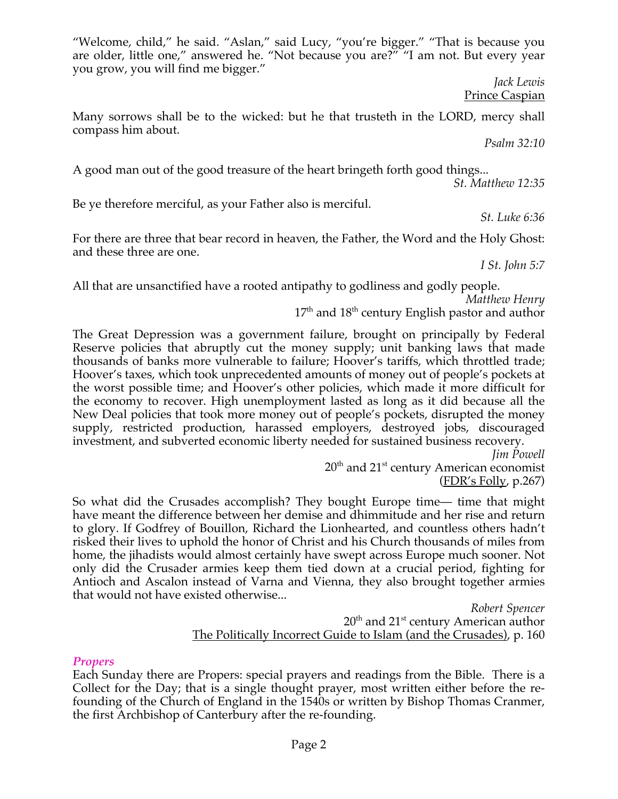"Welcome, child," he said. "Aslan," said Lucy, "you're bigger." "That is because you are older, little one," answered he. "Not because you are?" "I am not. But every year you grow, you will find me bigger."

> *Jack Lewis* **Prince Caspian**

Many sorrows shall be to the wicked: but he that trusteth in the LORD, mercy shall compass him about.

*Psalm 32:10*

A good man out of the good treasure of the heart bringeth forth good things...

*St. Matthew 12:35*

Be ye therefore merciful, as your Father also is merciful.

*St. Luke 6:36*

For there are three that bear record in heaven, the Father, the Word and the Holy Ghost: and these three are one.

*I St. John 5:7*

All that are unsanctified have a rooted antipathy to godliness and godly people.

*Matthew Henry*

 $17<sup>th</sup>$  and  $18<sup>th</sup>$  century English pastor and author

The Great Depression was a government failure, brought on principally by Federal Reserve policies that abruptly cut the money supply; unit banking laws that made thousands of banks more vulnerable to failure; Hoover's tariffs, which throttled trade; Hoover's taxes, which took unprecedented amounts of money out of people's pockets at the worst possible time; and Hoover's other policies, which made it more difficult for the economy to recover. High unemployment lasted as long as it did because all the New Deal policies that took more money out of people's pockets, disrupted the money supply, restricted production, harassed employers, destroyed jobs, discouraged investment, and subverted economic liberty needed for sustained business recovery.

*Jim Powell*  $20<sup>th</sup>$  and  $21<sup>st</sup>$  century American economist (FDR's Folly, p.267)

So what did the Crusades accomplish? They bought Europe time— time that might have meant the difference between her demise and dhimmitude and her rise and return to glory. If Godfrey of Bouillon, Richard the Lionhearted, and countless others hadn't risked their lives to uphold the honor of Christ and his Church thousands of miles from home, the jihadists would almost certainly have swept across Europe much sooner. Not only did the Crusader armies keep them tied down at a crucial period, fighting for Antioch and Ascalon instead of Varna and Vienna, they also brought together armies that would not have existed otherwise...

> *Robert Spencer*  $20<sup>th</sup>$  and  $21<sup>st</sup>$  century American author The Politically Incorrect Guide to Islam (and the Crusades), p. 160

# *Propers*

Each Sunday there are Propers: special prayers and readings from the Bible. There is a Collect for the Day; that is a single thought prayer, most written either before the refounding of the Church of England in the 1540s or written by Bishop Thomas Cranmer, the first Archbishop of Canterbury after the re-founding.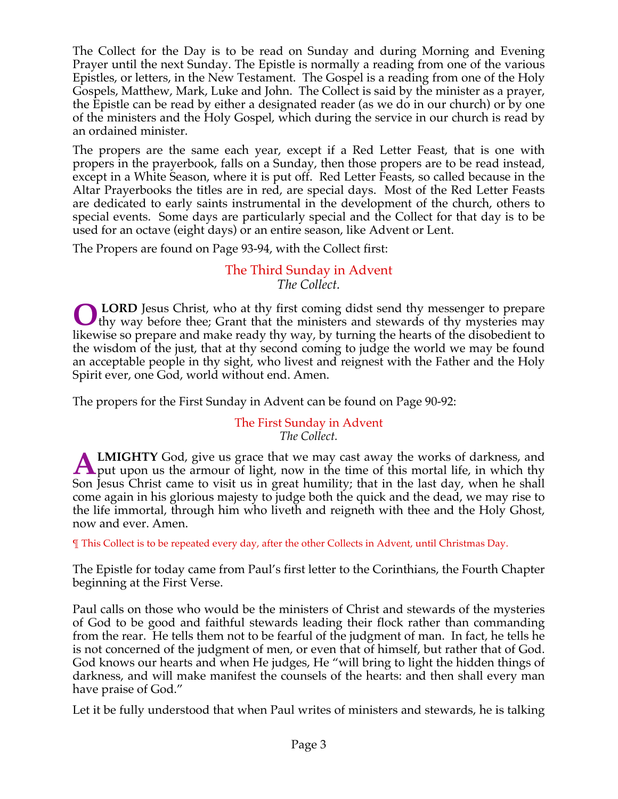The Collect for the Day is to be read on Sunday and during Morning and Evening Prayer until the next Sunday. The Epistle is normally a reading from one of the various Epistles, or letters, in the New Testament. The Gospel is a reading from one of the Holy Gospels, Matthew, Mark, Luke and John. The Collect is said by the minister as a prayer, the Epistle can be read by either a designated reader (as we do in our church) or by one of the ministers and the Holy Gospel, which during the service in our church is read by an ordained minister.

The propers are the same each year, except if a Red Letter Feast, that is one with propers in the prayerbook, falls on a Sunday, then those propers are to be read instead, except in a White Season, where it is put off. Red Letter Feasts, so called because in the Altar Prayerbooks the titles are in red, are special days. Most of the Red Letter Feasts are dedicated to early saints instrumental in the development of the church, others to special events. Some days are particularly special and the Collect for that day is to be used for an octave (eight days) or an entire season, like Advent or Lent.

The Propers are found on Page 93-94, with the Collect first:

# The Third Sunday in Advent *The Collect.*

**LORD** Jesus Christ, who at thy first coming didst send thy messenger to prepare **OLORD** Jesus Christ, who at thy first coming didst send thy messenger to prepare thy mysteries may they way before thee; Grant that the ministers and stewards of thy mysteries may likewise so prepare and make ready thy way, by turning the hearts of the disobedient to the wisdom of the just, that at thy second coming to judge the world we may be found an acceptable people in thy sight, who livest and reignest with the Father and the Holy Spirit ever, one God, world without end. Amen.

The propers for the First Sunday in Advent can be found on Page 90-92:

#### The First Sunday in Advent *The Collect.*

**LMIGHTY** God, give us grace that we may cast away the works of darkness, and **ALMIGHTY** God, give us grace that we may cast away the works of darkness, and put upon us the armour of light, now in the time of this mortal life, in which thy Son Jesus Christ came to visit us in great humility; that in the last day, when he shall come again in his glorious majesty to judge both the quick and the dead, we may rise to the life immortal, through him who liveth and reigneth with thee and the Holy Ghost, now and ever. Amen.

¶ This Collect is to be repeated every day, after the other Collects in Advent, until Christmas Day.

The Epistle for today came from Paul's first letter to the Corinthians, the Fourth Chapter beginning at the First Verse.

Paul calls on those who would be the ministers of Christ and stewards of the mysteries of God to be good and faithful stewards leading their flock rather than commanding from the rear. He tells them not to be fearful of the judgment of man. In fact, he tells he is not concerned of the judgment of men, or even that of himself, but rather that of God. God knows our hearts and when He judges, He "will bring to light the hidden things of darkness, and will make manifest the counsels of the hearts: and then shall every man have praise of God."

Let it be fully understood that when Paul writes of ministers and stewards, he is talking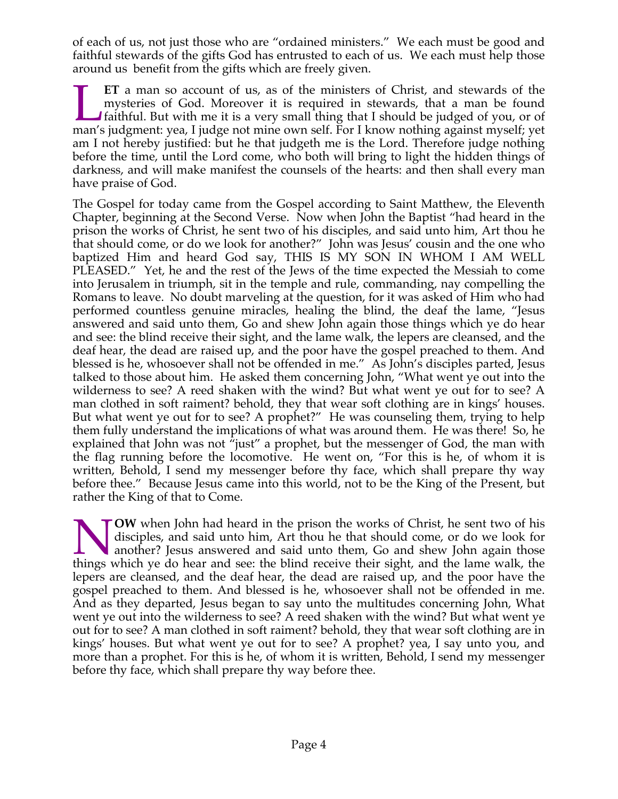of each of us, not just those who are "ordained ministers." We each must be good and faithful stewards of the gifts God has entrusted to each of us. We each must help those around us benefit from the gifts which are freely given.

**ET** a man so account of us, as of the ministers of Christ, and stewards of the mysteries of God. Moreover it is required in stewards, that a man be found faithful. But with me it is a very small thing that I should be judged of you, or of **ET** a man so account of us, as of the ministers of Christ, and stewards of the mysteries of God. Moreover it is required in stewards, that a man be found faithful. But with me it is a very small thing that I should be jud am I not hereby justified: but he that judgeth me is the Lord. Therefore judge nothing before the time, until the Lord come, who both will bring to light the hidden things of darkness, and will make manifest the counsels of the hearts: and then shall every man have praise of God.

The Gospel for today came from the Gospel according to Saint Matthew, the Eleventh Chapter, beginning at the Second Verse. Now when John the Baptist "had heard in the prison the works of Christ, he sent two of his disciples, and said unto him, Art thou he that should come, or do we look for another?" John was Jesus' cousin and the one who baptized Him and heard God say, THIS IS MY SON IN WHOM I AM WELL PLEASED." Yet, he and the rest of the Jews of the time expected the Messiah to come into Jerusalem in triumph, sit in the temple and rule, commanding, nay compelling the Romans to leave. No doubt marveling at the question, for it was asked of Him who had performed countless genuine miracles, healing the blind, the deaf the lame, "Jesus answered and said unto them, Go and shew John again those things which ye do hear and see: the blind receive their sight, and the lame walk, the lepers are cleansed, and the deaf hear, the dead are raised up, and the poor have the gospel preached to them. And blessed is he, whosoever shall not be offended in me." As John's disciples parted, Jesus talked to those about him. He asked them concerning John, "What went ye out into the wilderness to see? A reed shaken with the wind? But what went ye out for to see? A man clothed in soft raiment? behold, they that wear soft clothing are in kings' houses. But what went ye out for to see? A prophet?" He was counseling them, trying to help them fully understand the implications of what was around them. He was there! So, he explained that John was not  $\overline{u}$  just" a prophet, but the messenger of God, the man with the flag running before the locomotive. He went on, "For this is he, of whom it is written, Behold, I send my messenger before thy face, which shall prepare thy way before thee." Because Jesus came into this world, not to be the King of the Present, but rather the King of that to Come.

**OW** when John had heard in the prison the works of Christ, he sent two of his disciples, and said unto him, Art thou he that should come, or do we look for another? Jesus answered and said unto them, Go and shew John again those **the Material School School School School School School School School School School School School School School School School School School School School School School School School School School School School School Schoo** lepers are cleansed, and the deaf hear, the dead are raised up, and the poor have the gospel preached to them. And blessed is he, whosoever shall not be offended in me. And as they departed, Jesus began to say unto the multitudes concerning John, What went ye out into the wilderness to see? A reed shaken with the wind? But what went ye out for to see? A man clothed in soft raiment? behold, they that wear soft clothing are in kings' houses. But what went ye out for to see? A prophet? yea, I say unto you, and more than a prophet. For this is he, of whom it is written, Behold, I send my messenger before thy face, which shall prepare thy way before thee.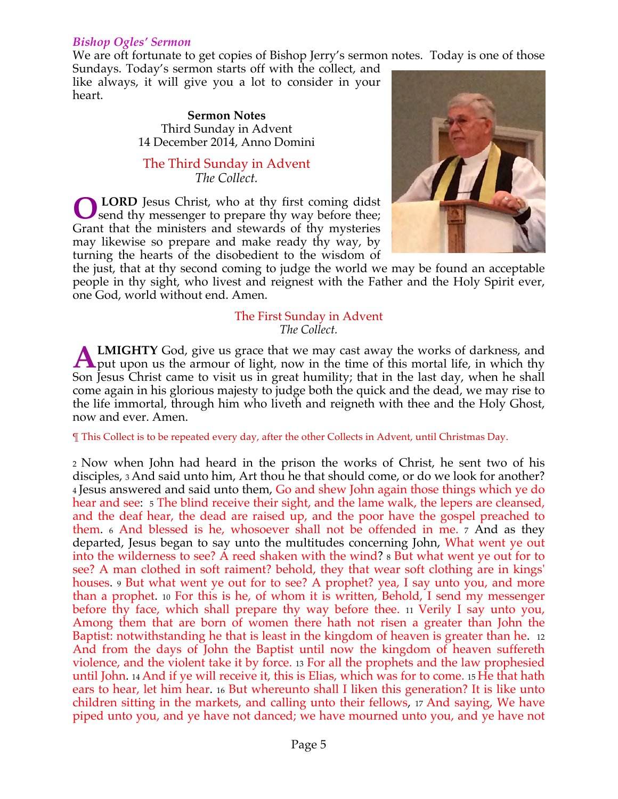#### *Bishop Ogles' Sermon*

We are oft fortunate to get copies of Bishop Jerry's sermon notes. Today is one of those

Sundays. Today's sermon starts off with the collect, and like always, it will give you a lot to consider in your heart.

> **Sermon Notes** Third Sunday in Advent 14 December 2014, Anno Domini

The Third Sunday in Advent *The Collect.*

 **LORD** Jesus Christ, who at thy first coming didst **O** LORD Jesus Christ, who at thy first coming didst send thy messenger to prepare thy way before thee; Grant that the ministers and stewards of thy mysteries may likewise so prepare and make ready thy way, by turning the hearts of the disobedient to the wisdom of



the just, that at thy second coming to judge the world we may be found an acceptable people in thy sight, who livest and reignest with the Father and the Holy Spirit ever, one God, world without end. Amen.

#### The First Sunday in Advent *The Collect.*

**LMIGHTY** God, give us grace that we may cast away the works of darkness, and **ALMIGHTY** God, give us grace that we may cast away the works of darkness, and put upon us the armour of light, now in the time of this mortal life, in which thy Son Jesus Christ came to visit us in great humility; that in the last day, when he shall come again in his glorious majesty to judge both the quick and the dead, we may rise to the life immortal, through him who liveth and reigneth with thee and the Holy Ghost, now and ever. Amen.

¶ This Collect is to be repeated every day, after the other Collects in Advent, until Christmas Day.

2 Now when John had heard in the prison the works of Christ, he sent two of his disciples, 3 And said unto him, Art thou he that should come, or do we look for another? 4 Jesus answered and said unto them, Go and shew John again those things which ye do hear and see: 5 The blind receive their sight, and the lame walk, the lepers are cleansed, and the deaf hear, the dead are raised up, and the poor have the gospel preached to them. <sup>6</sup> And blessed is he, whosoever shall not be offended in me. 7 And as they departed, Jesus began to say unto the multitudes concerning John, What went ye out into the wilderness to see? A reed shaken with the wind? 8 But what went ye out for to see? A man clothed in soft raiment? behold, they that wear soft clothing are in kings' houses. <sup>9</sup> But what went ye out for to see? A prophet? yea, I say unto you, and more than a prophet. <sup>10</sup> For this is he, of whom it is written, Behold, I send my messenger before thy face, which shall prepare thy way before thee. 11 Verily I say unto you, Among them that are born of women there hath not risen a greater than John the Baptist: notwithstanding he that is least in the kingdom of heaven is greater than he. 12 And from the days of John the Baptist until now the kingdom of heaven suffereth violence, and the violent take it by force. 13 For all the prophets and the law prophesied until John. 14 And if ye will receive it, this is Elias, which was for to come. 15 He that hath ears to hear, let him hear. <sup>16</sup> But whereunto shall I liken this generation? It is like unto children sitting in the markets, and calling unto their fellows, 17 And saying, We have piped unto you, and ye have not danced; we have mourned unto you, and ye have not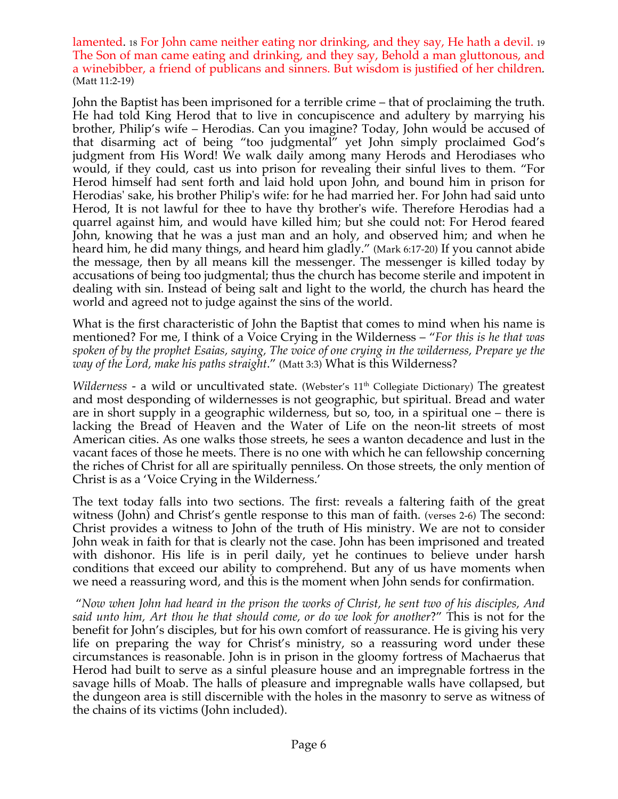lamented. <sup>18</sup> For John came neither eating nor drinking, and they say, He hath a devil. <sup>19</sup> The Son of man came eating and drinking, and they say, Behold a man gluttonous, and a winebibber, a friend of publicans and sinners. But wisdom is justified of her children*.* (Matt 11:2-19)

John the Baptist has been imprisoned for a terrible crime – that of proclaiming the truth. He had told King Herod that to live in concupiscence and adultery by marrying his brother, Philip's wife – Herodias. Can you imagine? Today, John would be accused of that disarming act of being "too judgmental" yet John simply proclaimed God's judgment from His Word! We walk daily among many Herods and Herodiases who would, if they could, cast us into prison for revealing their sinful lives to them. "For Herod himself had sent forth and laid hold upon John, and bound him in prison for Herodias' sake, his brother Philip's wife: for he had married her. For John had said unto Herod, It is not lawful for thee to have thy brother's wife. Therefore Herodias had a quarrel against him, and would have killed him; but she could not: For Herod feared John, knowing that he was a just man and an holy, and observed him; and when he heard him, he did many things, and heard him gladly." (Mark 6:17-20) If you cannot abide the message, then by all means kill the messenger. The messenger is killed today by accusations of being too judgmental; thus the church has become sterile and impotent in dealing with sin. Instead of being salt and light to the world, the church has heard the world and agreed not to judge against the sins of the world.

What is the first characteristic of John the Baptist that comes to mind when his name is mentioned? For me, I think of a Voice Crying in the Wilderness – "*For this is he that was spoken of by the prophet Esaias, saying, The voice of one crying in the wilderness, Prepare ye the way of the Lord, make his paths straight*." (Matt 3:3) What is this Wilderness?

*Wilderness* - a wild or uncultivated state. (Webster's 11<sup>th</sup> Collegiate Dictionary) The greatest and most desponding of wildernesses is not geographic, but spiritual. Bread and water are in short supply in a geographic wilderness, but so, too, in a spiritual one – there is lacking the Bread of Heaven and the Water of Life on the neon-lit streets of most American cities. As one walks those streets, he sees a wanton decadence and lust in the vacant faces of those he meets. There is no one with which he can fellowship concerning the riches of Christ for all are spiritually penniless. On those streets, the only mention of Christ is as a 'Voice Crying in the Wilderness.'

The text today falls into two sections. The first: reveals a faltering faith of the great witness (John) and Christ's gentle response to this man of faith. (verses 2-6) The second: Christ provides a witness to John of the truth of His ministry. We are not to consider John weak in faith for that is clearly not the case. John has been imprisoned and treated with dishonor. His life is in peril daily, yet he continues to believe under harsh conditions that exceed our ability to comprehend. But any of us have moments when we need a reassuring word, and this is the moment when John sends for confirmation.

 "*Now when John had heard in the prison the works of Christ, he sent two of his disciples, And said unto him, Art thou he that should come, or do we look for another*?" This is not for the benefit for John's disciples, but for his own comfort of reassurance. He is giving his very life on preparing the way for Christ's ministry, so a reassuring word under these circumstances is reasonable. John is in prison in the gloomy fortress of Machaerus that Herod had built to serve as a sinful pleasure house and an impregnable fortress in the savage hills of Moab. The halls of pleasure and impregnable walls have collapsed, but the dungeon area is still discernible with the holes in the masonry to serve as witness of the chains of its victims (John included).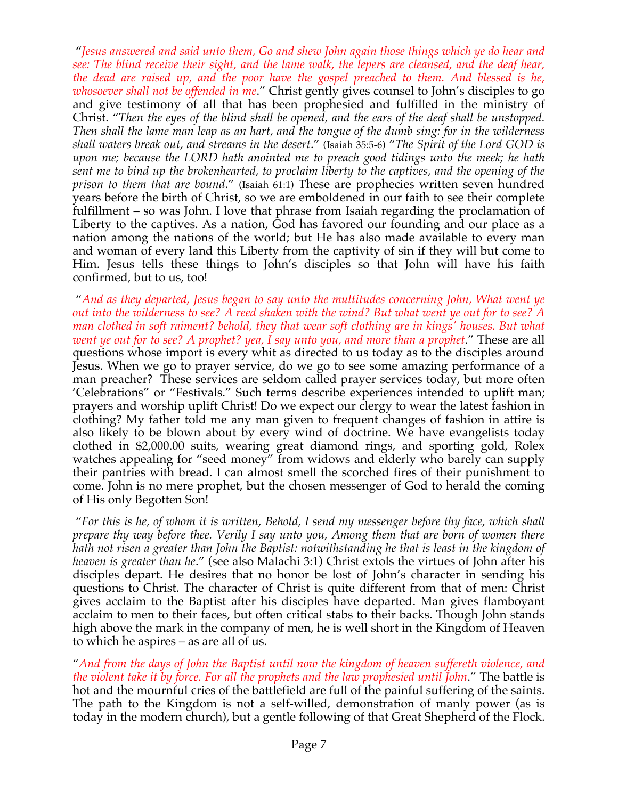"*Jesus answered and said unto them, Go and shew John again those things which ye do hear and see: The blind receive their sight, and the lame walk, the lepers are cleansed, and the deaf hear, the dead are raised up, and the poor have the gospel preached to them. And blessed is he, whosoever shall not be offended in me*." Christ gently gives counsel to John's disciples to go and give testimony of all that has been prophesied and fulfilled in the ministry of Christ. "*Then the eyes of the blind shall be opened, and the ears of the deaf shall be unstopped. Then shall the lame man leap as an hart, and the tongue of the dumb sing: for in the wilderness shall waters break out, and streams in the desert*." (Isaiah 35:5-6) "*The Spirit of the Lord GOD is upon me; because the LORD hath anointed me to preach good tidings unto the meek; he hath sent me to bind up the brokenhearted, to proclaim liberty to the captives, and the opening of the prison to them that are bound*." (Isaiah 61:1) These are prophecies written seven hundred years before the birth of Christ, so we are emboldened in our faith to see their complete fulfillment – so was John. I love that phrase from Isaiah regarding the proclamation of Liberty to the captives. As a nation, God has favored our founding and our place as a nation among the nations of the world; but He has also made available to every man and woman of every land this Liberty from the captivity of sin if they will but come to Him. Jesus tells these things to John's disciples so that John will have his faith confirmed, but to us, too!

 "*And as they departed, Jesus began to say unto the multitudes concerning John, What went ye out into the wilderness to see? A reed shaken with the wind? But what went ye out for to see? A man clothed in soft raiment? behold, they that wear soft clothing are in kings' houses. But what went ye out for to see? A prophet? yea, I say unto you, and more than a prophet*." These are all questions whose import is every whit as directed to us today as to the disciples around Jesus. When we go to prayer service, do we go to see some amazing performance of a man preacher? These services are seldom called prayer services today, but more often 'Celebrations" or "Festivals." Such terms describe experiences intended to uplift man; prayers and worship uplift Christ! Do we expect our clergy to wear the latest fashion in clothing? My father told me any man given to frequent changes of fashion in attire is also likely to be blown about by every wind of doctrine. We have evangelists today clothed in \$2,000.00 suits, wearing great diamond rings, and sporting gold, Rolex watches appealing for "seed money" from widows and elderly who barely can supply their pantries with bread. I can almost smell the scorched fires of their punishment to come. John is no mere prophet, but the chosen messenger of God to herald the coming of His only Begotten Son!

 "*For this is he, of whom it is written, Behold, I send my messenger before thy face, which shall prepare thy way before thee. Verily I say unto you, Among them that are born of women there hath not risen a greater than John the Baptist: notwithstanding he that is least in the kingdom of heaven is greater than he*." (see also Malachi 3:1) Christ extols the virtues of John after his disciples depart. He desires that no honor be lost of John's character in sending his questions to Christ. The character of Christ is quite different from that of men: Christ gives acclaim to the Baptist after his disciples have departed. Man gives flamboyant acclaim to men to their faces, but often critical stabs to their backs. Though John stands high above the mark in the company of men, he is well short in the Kingdom of Heaven to which he aspires – as are all of us.

"*And from the days of John the Baptist until now the kingdom of heaven suffereth violence, and the violent take it by force. For all the prophets and the law prophesied until John*." The battle is hot and the mournful cries of the battlefield are full of the painful suffering of the saints. The path to the Kingdom is not a self-willed, demonstration of manly power (as is today in the modern church), but a gentle following of that Great Shepherd of the Flock.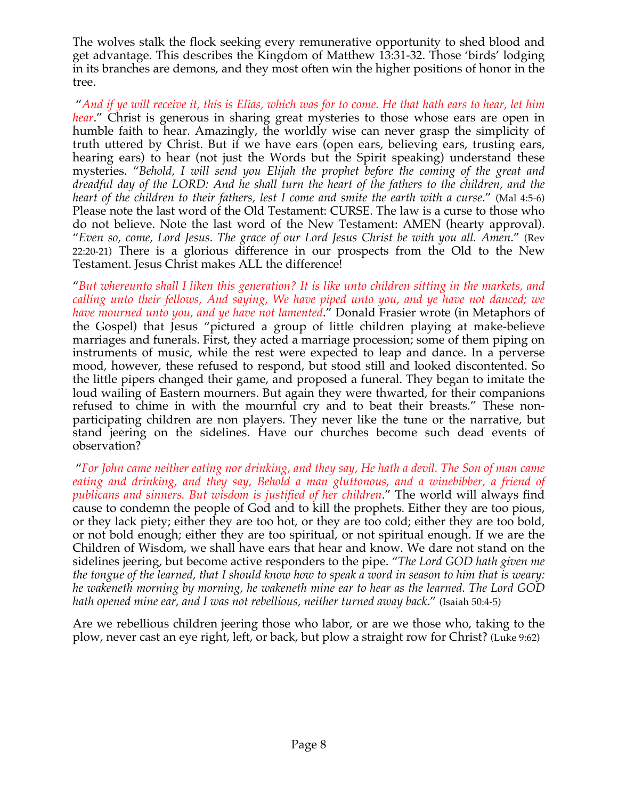The wolves stalk the flock seeking every remunerative opportunity to shed blood and get advantage. This describes the Kingdom of Matthew 13:31-32. Those 'birds' lodging in its branches are demons, and they most often win the higher positions of honor in the tree.

 "*And if ye will receive it, this is Elias, which was for to come. He that hath ears to hear, let him hear.*" Christ is generous in sharing great mysteries to those whose ears are open in humble faith to hear. Amazingly, the worldly wise can never grasp the simplicity of truth uttered by Christ. But if we have ears (open ears, believing ears, trusting ears, hearing ears) to hear (not just the Words but the Spirit speaking) understand these mysteries. "*Behold, I will send you Elijah the prophet before the coming of the great and dreadful day of the LORD: And he shall turn the heart of the fathers to the children, and the heart of the children to their fathers, lest I come and smite the earth with a curse*." (Mal 4:5-6) Please note the last word of the Old Testament: CURSE. The law is a curse to those who do not believe. Note the last word of the New Testament: AMEN (hearty approval). "*Even so, come, Lord Jesus. The grace of our Lord Jesus Christ be with you all. Amen*." (Rev 22:20-21) There is a glorious difference in our prospects from the Old to the New Testament. Jesus Christ makes ALL the difference!

"*But whereunto shall I liken this generation? It is like unto children sitting in the markets, and calling unto their fellows, And saying, We have piped unto you, and ye have not danced; we have mourned unto you, and ye have not lamented*." Donald Frasier wrote (in Metaphors of the Gospel) that Jesus "pictured a group of little children playing at make-believe marriages and funerals. First, they acted a marriage procession; some of them piping on instruments of music, while the rest were expected to leap and dance. In a perverse mood, however, these refused to respond, but stood still and looked discontented. So the little pipers changed their game, and proposed a funeral. They began to imitate the loud wailing of Eastern mourners. But again they were thwarted, for their companions refused to chime in with the mournful cry and to beat their breasts." These nonparticipating children are non players. They never like the tune or the narrative, but stand jeering on the sidelines. Have our churches become such dead events of observation?

 "*For John came neither eating nor drinking, and they say, He hath a devil. The Son of man came eating and drinking, and they say, Behold a man gluttonous, and a winebibber, a friend of publicans and sinners. But wisdom is justified of her children*." The world will always find cause to condemn the people of God and to kill the prophets. Either they are too pious, or they lack piety; either they are too hot, or they are too cold; either they are too bold, or not bold enough; either they are too spiritual, or not spiritual enough. If we are the Children of Wisdom, we shall have ears that hear and know. We dare not stand on the sidelines jeering, but become active responders to the pipe. "*The Lord GOD hath given me the tongue of the learned, that I should know how to speak a word in season to him that is weary: he wakeneth morning by morning, he wakeneth mine ear to hear as the learned. The Lord GOD hath opened mine ear, and I was not rebellious, neither turned away back*." (Isaiah 50:4-5)

Are we rebellious children jeering those who labor, or are we those who, taking to the plow, never cast an eye right, left, or back, but plow a straight row for Christ? (Luke 9:62)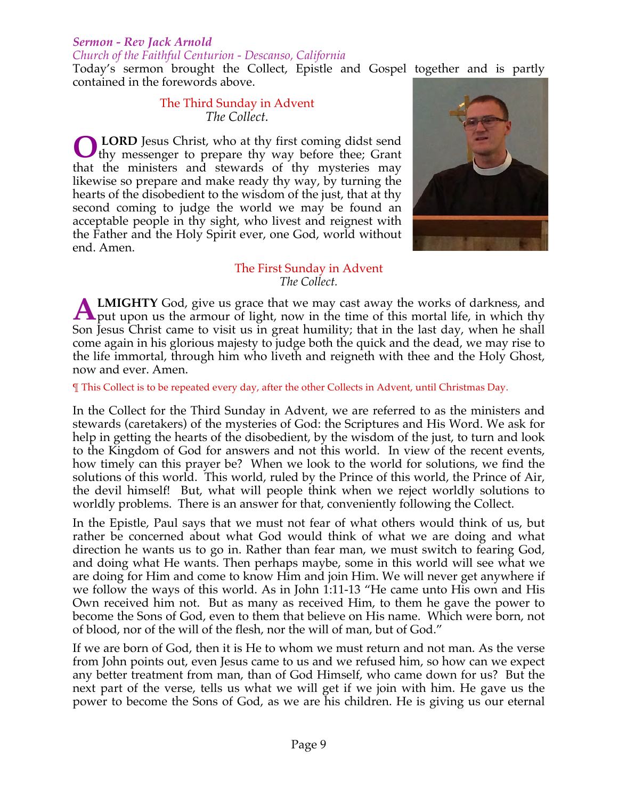# *Sermon - Rev Jack Arnold*

#### *Church of the Faithful Centurion - Descanso, California*

Today's sermon brought the Collect, Epistle and Gospel together and is partly contained in the forewords above.

> The Third Sunday in Advent *The Collect.*

**LORD** Jesus Christ, who at thy first coming didst send thy messenger to prepare thy way before thee; Grant that the ministers and stewards of thy mysteries may likewise so prepare and make ready thy way, by turning the hearts of the disobedient to the wisdom of the just, that at thy second coming to judge the world we may be found an acceptable people in thy sight, who livest and reignest with the Father and the Holy Spirit ever, one God, world without end. Amen. **O**



#### The First Sunday in Advent *The Collect.*

**LMIGHTY** God, give us grace that we may cast away the works of darkness, and **ALMIGHTY** God, give us grace that we may cast away the works of darkness, and put upon us the armour of light, now in the time of this mortal life, in which thy Son Jesus Christ came to visit us in great humility; that in the last day, when he shall come again in his glorious majesty to judge both the quick and the dead, we may rise to the life immortal, through him who liveth and reigneth with thee and the Holy Ghost, now and ever. Amen.

¶ This Collect is to be repeated every day, after the other Collects in Advent, until Christmas Day.

In the Collect for the Third Sunday in Advent, we are referred to as the ministers and stewards (caretakers) of the mysteries of God: the Scriptures and His Word. We ask for help in getting the hearts of the disobedient, by the wisdom of the just, to turn and look to the Kingdom of God for answers and not this world. In view of the recent events, how timely can this prayer be? When we look to the world for solutions, we find the solutions of this world. This world, ruled by the Prince of this world, the Prince of Air, the devil himself! But, what will people think when we reject worldly solutions to worldly problems. There is an answer for that, conveniently following the Collect.

In the Epistle, Paul says that we must not fear of what others would think of us, but rather be concerned about what God would think of what we are doing and what direction he wants us to go in. Rather than fear man, we must switch to fearing God, and doing what He wants. Then perhaps maybe, some in this world will see what we are doing for Him and come to know Him and join Him. We will never get anywhere if we follow the ways of this world. As in John 1:11-13 "He came unto His own and His Own received him not. But as many as received Him, to them he gave the power to become the Sons of God, even to them that believe on His name. Which were born, not of blood, nor of the will of the flesh, nor the will of man, but of God."

If we are born of God, then it is He to whom we must return and not man. As the verse from John points out, even Jesus came to us and we refused him, so how can we expect any better treatment from man, than of God Himself, who came down for us? But the next part of the verse, tells us what we will get if we join with him. He gave us the power to become the Sons of God, as we are his children. He is giving us our eternal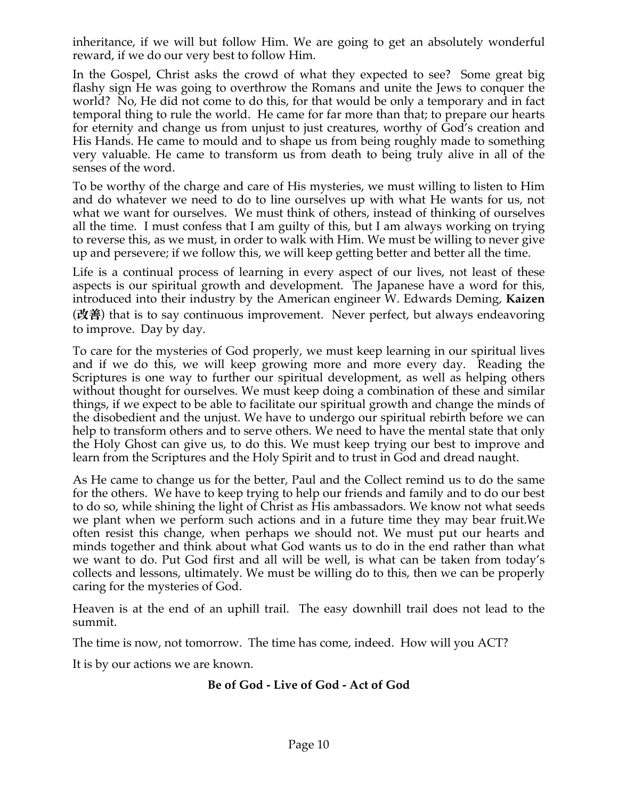inheritance, if we will but follow Him. We are going to get an absolutely wonderful reward, if we do our very best to follow Him.

In the Gospel, Christ asks the crowd of what they expected to see? Some great big flashy sign He was going to overthrow the Romans and unite the Jews to conquer the world? No, He did not come to do this, for that would be only a temporary and in fact temporal thing to rule the world. He came for far more than that; to prepare our hearts for eternity and change us from unjust to just creatures, worthy of God's creation and His Hands. He came to mould and to shape us from being roughly made to something very valuable. He came to transform us from death to being truly alive in all of the senses of the word.

To be worthy of the charge and care of His mysteries, we must willing to listen to Him and do whatever we need to do to line ourselves up with what He wants for us, not what we want for ourselves. We must think of others, instead of thinking of ourselves all the time. I must confess that I am guilty of this, but I am always working on trying to reverse this, as we must, in order to walk with Him. We must be willing to never give up and persevere; if we follow this, we will keep getting better and better all the time.

Life is a continual process of learning in every aspect of our lives, not least of these aspects is our spiritual growth and development. The Japanese have a word for this, introduced into their industry by the American engineer W. Edwards Deming, **Kaizen** (改善) that is to say continuous improvement. Never perfect, but always endeavoring to improve. Day by day.

To care for the mysteries of God properly, we must keep learning in our spiritual lives and if we do this, we will keep growing more and more every day. Reading the Scriptures is one way to further our spiritual development, as well as helping others without thought for ourselves. We must keep doing a combination of these and similar things, if we expect to be able to facilitate our spiritual growth and change the minds of the disobedient and the unjust. We have to undergo our spiritual rebirth before we can help to transform others and to serve others. We need to have the mental state that only the Holy Ghost can give us, to do this. We must keep trying our best to improve and learn from the Scriptures and the Holy Spirit and to trust in God and dread naught.

As He came to change us for the better, Paul and the Collect remind us to do the same for the others. We have to keep trying to help our friends and family and to do our best to do so, while shining the light of Christ as His ambassadors. We know not what seeds we plant when we perform such actions and in a future time they may bear fruit.We often resist this change, when perhaps we should not. We must put our hearts and minds together and think about what God wants us to do in the end rather than what we want to do. Put God first and all will be well, is what can be taken from today's collects and lessons, ultimately. We must be willing do to this, then we can be properly caring for the mysteries of God.

Heaven is at the end of an uphill trail. The easy downhill trail does not lead to the summit.

The time is now, not tomorrow. The time has come, indeed. How will you ACT?

It is by our actions we are known.

# **Be of God - Live of God - Act of God**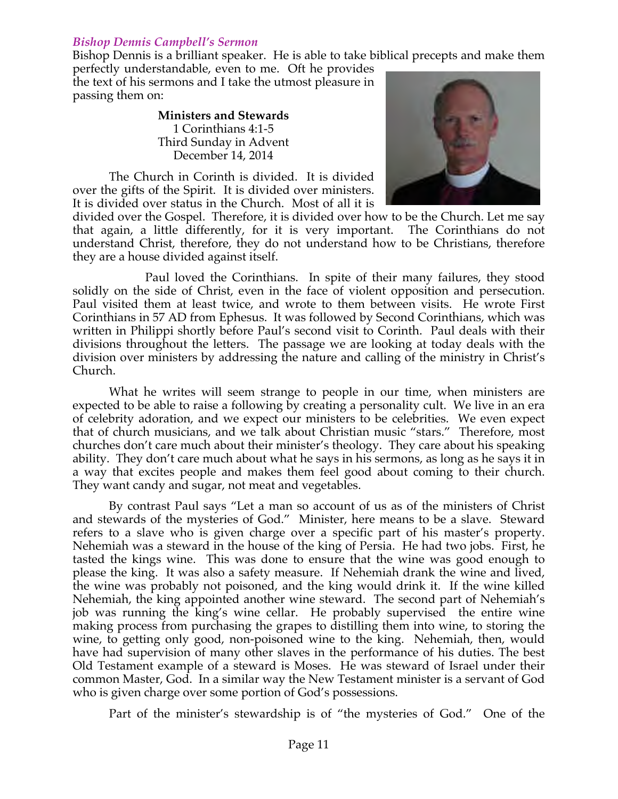#### *Bishop Dennis Campbell's Sermon*

Bishop Dennis is a brilliant speaker. He is able to take biblical precepts and make them

perfectly understandable, even to me. Oft he provides the text of his sermons and I take the utmost pleasure in passing them on:

> **Ministers and Stewards** 1 Corinthians 4:1-5 Third Sunday in Advent December 14, 2014

The Church in Corinth is divided. It is divided over the gifts of the Spirit. It is divided over ministers. It is divided over status in the Church. Most of all it is



divided over the Gospel. Therefore, it is divided over how to be the Church. Let me say that again, a little differently, for it is very important. The Corinthians do not understand Christ, therefore, they do not understand how to be Christians, therefore they are a house divided against itself.

Paul loved the Corinthians. In spite of their many failures, they stood solidly on the side of Christ, even in the face of violent opposition and persecution. Paul visited them at least twice, and wrote to them between visits. He wrote First Corinthians in 57 AD from Ephesus. It was followed by Second Corinthians, which was written in Philippi shortly before Paul's second visit to Corinth. Paul deals with their divisions throughout the letters. The passage we are looking at today deals with the division over ministers by addressing the nature and calling of the ministry in Christ's Church.

What he writes will seem strange to people in our time, when ministers are expected to be able to raise a following by creating a personality cult. We live in an era of celebrity adoration, and we expect our ministers to be celebrities. We even expect that of church musicians, and we talk about Christian music "stars." Therefore, most churches don't care much about their minister's theology. They care about his speaking ability. They don't care much about what he says in his sermons, as long as he says it in a way that excites people and makes them feel good about coming to their church. They want candy and sugar, not meat and vegetables.

By contrast Paul says "Let a man so account of us as of the ministers of Christ and stewards of the mysteries of God." Minister, here means to be a slave. Steward refers to a slave who is given charge over a specific part of his master's property. Nehemiah was a steward in the house of the king of Persia. He had two jobs. First, he tasted the kings wine. This was done to ensure that the wine was good enough to please the king. It was also a safety measure. If Nehemiah drank the wine and lived, the wine was probably not poisoned, and the king would drink it. If the wine killed Nehemiah, the king appointed another wine steward. The second part of Nehemiah's job was running the king's wine cellar. He probably supervised the entire wine making process from purchasing the grapes to distilling them into wine, to storing the wine, to getting only good, non-poisoned wine to the king. Nehemiah, then, would have had supervision of many other slaves in the performance of his duties. The best Old Testament example of a steward is Moses. He was steward of Israel under their common Master, God. In a similar way the New Testament minister is a servant of God who is given charge over some portion of God's possessions.

Part of the minister's stewardship is of "the mysteries of God." One of the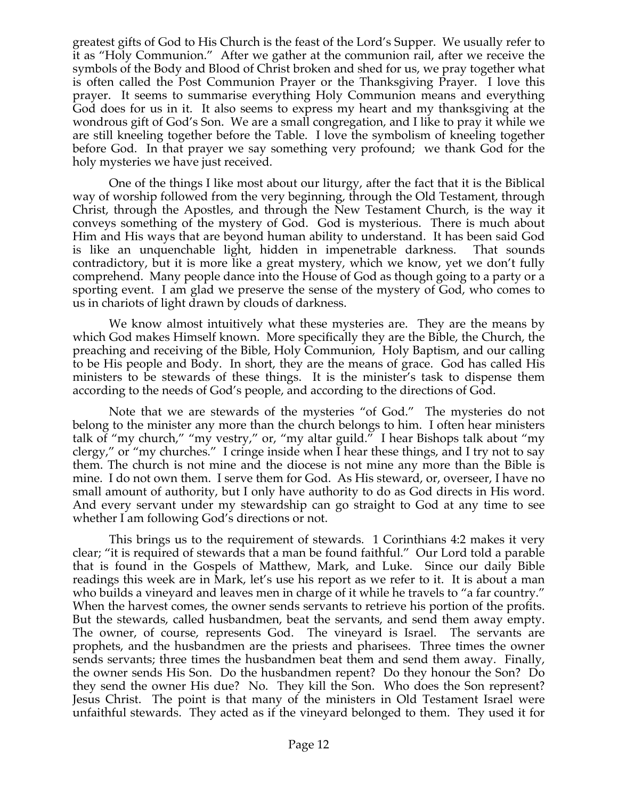greatest gifts of God to His Church is the feast of the Lord's Supper. We usually refer to it as "Holy Communion." After we gather at the communion rail, after we receive the symbols of the Body and Blood of Christ broken and shed for us, we pray together what is often called the Post Communion Prayer or the Thanksgiving Prayer. I love this prayer. It seems to summarise everything Holy Communion means and everything God does for us in it. It also seems to express my heart and my thanksgiving at the wondrous gift of God's Son. We are a small congregation, and I like to pray it while we are still kneeling together before the Table. I love the symbolism of kneeling together before God. In that prayer we say something very profound; we thank God for the holy mysteries we have just received.

One of the things I like most about our liturgy, after the fact that it is the Biblical way of worship followed from the very beginning, through the Old Testament, through Christ, through the Apostles, and through the New Testament Church, is the way it conveys something of the mystery of God. God is mysterious. There is much about Him and His ways that are beyond human ability to understand. It has been said God is like an unquenchable light, hidden in impenetrable darkness. That sounds contradictory, but it is more like a great mystery, which we know, yet we don't fully comprehend. Many people dance into the House of God as though going to a party or a sporting event. I am glad we preserve the sense of the mystery of God, who comes to us in chariots of light drawn by clouds of darkness.

We know almost intuitively what these mysteries are. They are the means by which God makes Himself known. More specifically they are the Bible, the Church, the preaching and receiving of the Bible, Holy Communion, Holy Baptism, and our calling to be His people and Body. In short, they are the means of grace. God has called His ministers to be stewards of these things. It is the minister's task to dispense them according to the needs of God's people, and according to the directions of God.

Note that we are stewards of the mysteries "of God." The mysteries do not belong to the minister any more than the church belongs to him. I often hear ministers talk of "my church," "my vestry," or, "my altar guild." I hear Bishops talk about "my clergy," or "my churches." I cringe inside when I hear these things, and I try not to say them. The church is not mine and the diocese is not mine any more than the Bible is mine. I do not own them. I serve them for God. As His steward, or, overseer, I have no small amount of authority, but I only have authority to do as God directs in His word. And every servant under my stewardship can go straight to God at any time to see whether I am following God's directions or not.

This brings us to the requirement of stewards. 1 Corinthians 4:2 makes it very clear; "it is required of stewards that a man be found faithful." Our Lord told a parable that is found in the Gospels of Matthew, Mark, and Luke. Since our daily Bible readings this week are in Mark, let's use his report as we refer to it. It is about a man who builds a vineyard and leaves men in charge of it while he travels to "a far country." When the harvest comes, the owner sends servants to retrieve his portion of the profits. But the stewards, called husbandmen, beat the servants, and send them away empty. The owner, of course, represents God. The vineyard is Israel. The servants are prophets, and the husbandmen are the priests and pharisees. Three times the owner sends servants; three times the husbandmen beat them and send them away. Finally, the owner sends His Son. Do the husbandmen repent? Do they honour the Son? Do they send the owner His due? No. They kill the Son. Who does the Son represent? Jesus Christ. The point is that many of the ministers in Old Testament Israel were unfaithful stewards. They acted as if the vineyard belonged to them. They used it for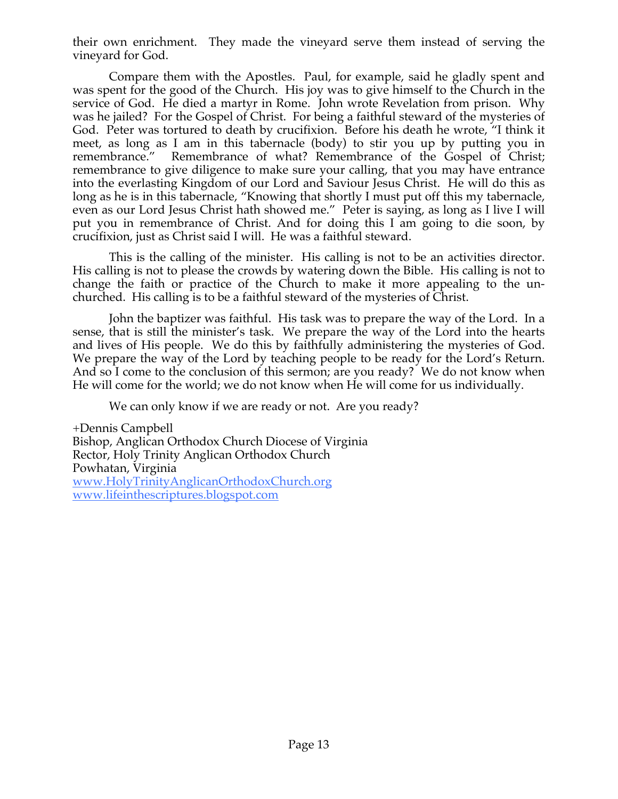their own enrichment. They made the vineyard serve them instead of serving the vineyard for God.

Compare them with the Apostles. Paul, for example, said he gladly spent and was spent for the good of the Church. His joy was to give himself to the Church in the service of God. He died a martyr in Rome. John wrote Revelation from prison. Why was he jailed? For the Gospel of Christ. For being a faithful steward of the mysteries of God. Peter was tortured to death by crucifixion. Before his death he wrote, "I think it meet, as long as I am in this tabernacle (body) to stir you up by putting you in remembrance." Remembrance of what? Remembrance of the Gospel of Christ; remembrance to give diligence to make sure your calling, that you may have entrance into the everlasting Kingdom of our Lord and Saviour Jesus Christ. He will do this as long as he is in this tabernacle, "Knowing that shortly I must put off this my tabernacle, even as our Lord Jesus Christ hath showed me." Peter is saying, as long as I live I will put you in remembrance of Christ. And for doing this I am going to die soon, by crucifixion, just as Christ said I will. He was a faithful steward.

This is the calling of the minister. His calling is not to be an activities director. His calling is not to please the crowds by watering down the Bible. His calling is not to change the faith or practice of the Church to make it more appealing to the unchurched. His calling is to be a faithful steward of the mysteries of Christ.

John the baptizer was faithful. His task was to prepare the way of the Lord. In a sense, that is still the minister's task. We prepare the way of the Lord into the hearts and lives of His people. We do this by faithfully administering the mysteries of God. We prepare the way of the Lord by teaching people to be ready for the Lord's Return. And so I come to the conclusion of this sermon; are you ready? We do not know when He will come for the world; we do not know when He will come for us individually.

We can only know if we are ready or not. Are you ready?

+Dennis Campbell Bishop, Anglican Orthodox Church Diocese of Virginia Rector, Holy Trinity Anglican Orthodox Church Powhatan, Virginia www.HolyTrinityAnglicanOrthodoxChurch.org www.lifeinthescriptures.blogspot.com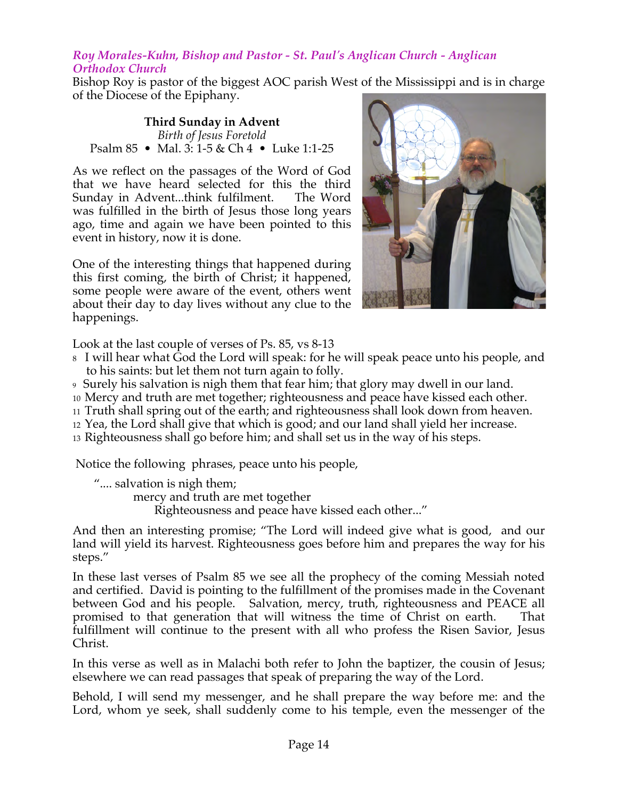#### *Roy Morales-Kuhn, Bishop and Pastor - St. Paul's Anglican Church - Anglican Orthodox Church*

Bishop Roy is pastor of the biggest AOC parish West of the Mississippi and is in charge of the Diocese of the Epiphany.

#### **Third Sunday in Advent**  *Birth of Jesus Foretold*  Psalm 85 • Mal. 3: 1-5 & Ch 4 • Luke 1:1-25

As we reflect on the passages of the Word of God that we have heard selected for this the third Sunday in Advent...think fulfilment. The Word was fulfilled in the birth of Jesus those long years ago, time and again we have been pointed to this event in history, now it is done.

One of the interesting things that happened during this first coming, the birth of Christ; it happened, some people were aware of the event, others went about their day to day lives without any clue to the happenings.



Look at the last couple of verses of Ps. 85, vs 8-13

- 8 I will hear what God the Lord will speak: for he will speak peace unto his people, and to his saints: but let them not turn again to folly.
- 9 Surely his salvation is nigh them that fear him; that glory may dwell in our land.
- 10 Mercy and truth are met together; righteousness and peace have kissed each other.
- 11 Truth shall spring out of the earth; and righteousness shall look down from heaven.
- <sup>12</sup> Yea, the Lord shall give that which is good; and our land shall yield her increase.

13 Righteousness shall go before him; and shall set us in the way of his steps.

Notice the following phrases, peace unto his people,

 ".... salvation is nigh them; mercy and truth are met together Righteousness and peace have kissed each other..."

And then an interesting promise; "The Lord will indeed give what is good, and our land will yield its harvest. Righteousness goes before him and prepares the way for his steps."

In these last verses of Psalm 85 we see all the prophecy of the coming Messiah noted and certified. David is pointing to the fulfillment of the promises made in the Covenant between God and his people. Salvation, mercy, truth, righteousness and PEACE all promised to that generation that will witness the time of Christ on earth. That fulfillment will continue to the present with all who profess the Risen Savior, Jesus Christ.

In this verse as well as in Malachi both refer to John the baptizer, the cousin of Jesus; elsewhere we can read passages that speak of preparing the way of the Lord.

Behold, I will send my messenger, and he shall prepare the way before me: and the Lord, whom ye seek, shall suddenly come to his temple, even the messenger of the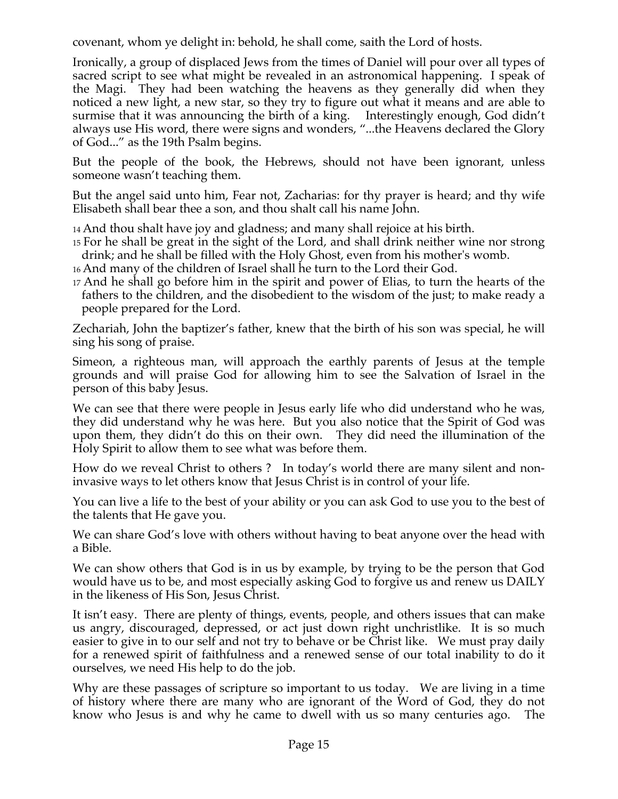covenant, whom ye delight in: behold, he shall come, saith the Lord of hosts.

Ironically, a group of displaced Jews from the times of Daniel will pour over all types of sacred script to see what might be revealed in an astronomical happening. I speak of the Magi. They had been watching the heavens as they generally did when they noticed a new light, a new star, so they try to figure out what it means and are able to surmise that it was announcing the birth of a king. Interestingly enough, God didn't always use His word, there were signs and wonders, "...the Heavens declared the Glory of God..." as the 19th Psalm begins.

But the people of the book, the Hebrews, should not have been ignorant, unless someone wasn't teaching them.

But the angel said unto him, Fear not, Zacharias: for thy prayer is heard; and thy wife Elisabeth shall bear thee a son, and thou shalt call his name John.

14 And thou shalt have joy and gladness; and many shall rejoice at his birth.

- 15 For he shall be great in the sight of the Lord, and shall drink neither wine nor strong drink; and he shall be filled with the Holy Ghost, even from his mother's womb.
- 16 And many of the children of Israel shall he turn to the Lord their God.
- 17 And he shall go before him in the spirit and power of Elias, to turn the hearts of the fathers to the children, and the disobedient to the wisdom of the just; to make ready a people prepared for the Lord.

Zechariah, John the baptizer's father, knew that the birth of his son was special, he will sing his song of praise.

Simeon, a righteous man, will approach the earthly parents of Jesus at the temple grounds and will praise God for allowing him to see the Salvation of Israel in the person of this baby Jesus.

We can see that there were people in Jesus early life who did understand who he was, they did understand why he was here. But you also notice that the Spirit of God was upon them, they didn't do this on their own. They did need the illumination of the Holy Spirit to allow them to see what was before them.

How do we reveal Christ to others ? In today's world there are many silent and noninvasive ways to let others know that Jesus Christ is in control of your life.

You can live a life to the best of your ability or you can ask God to use you to the best of the talents that He gave you.

We can share God's love with others without having to beat anyone over the head with a Bible.

We can show others that God is in us by example, by trying to be the person that God would have us to be, and most especially asking God to forgive us and renew us DAILY in the likeness of His Son, Jesus Christ.

It isn't easy. There are plenty of things, events, people, and others issues that can make us angry, discouraged, depressed, or act just down right unchristlike. It is so much easier to give in to our self and not try to behave or be Christ like. We must pray daily for a renewed spirit of faithfulness and a renewed sense of our total inability to do it ourselves, we need His help to do the job.

Why are these passages of scripture so important to us today. We are living in a time of history where there are many who are ignorant of the Word of God, they do not know who Jesus is and why he came to dwell with us so many centuries ago. The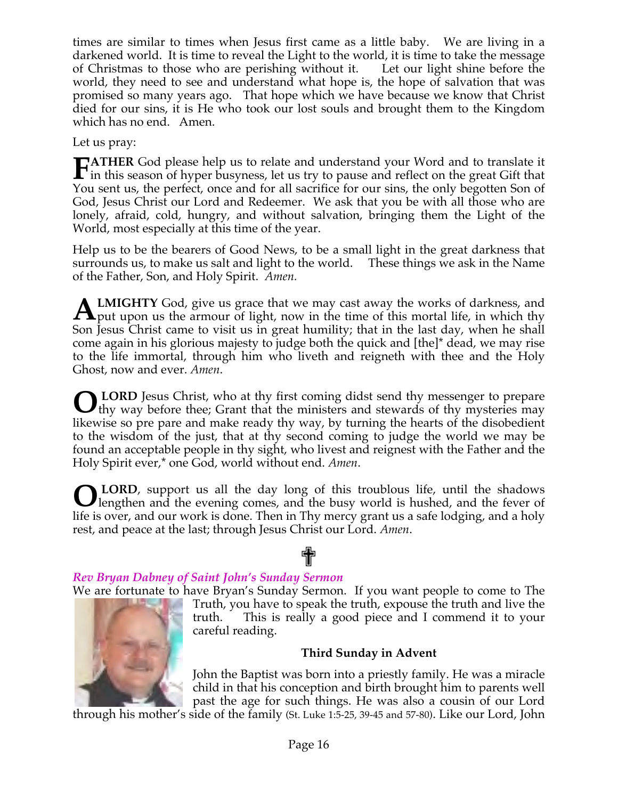times are similar to times when Jesus first came as a little baby. We are living in a darkened world. It is time to reveal the Light to the world, it is time to take the message of Christmas to those who are perishing without it. Let our light shine before the world, they need to see and understand what hope is, the hope of salvation that was promised so many years ago. That hope which we have because we know that Christ died for our sins, it is He who took our lost souls and brought them to the Kingdom which has no end. Amen.

Let us pray:

**ATHER** God please help us to relate and understand your Word and to translate it **FATHER** God please help us to relate and understand your Word and to translate it in this season of hyper busyness, let us try to pause and reflect on the great Gift that  $\chi$ You sent us, the perfect, once and for all sacrifice for our sins, the only begotten Son of God, Jesus Christ our Lord and Redeemer. We ask that you be with all those who are lonely, afraid, cold, hungry, and without salvation, bringing them the Light of the World, most especially at this time of the year.

Help us to be the bearers of Good News, to be a small light in the great darkness that surrounds us, to make us salt and light to the world. These things we ask in the Name of the Father, Son, and Holy Spirit. *Amen.*

**LMIGHTY** God, give us grace that we may cast away the works of darkness, and **ALMIGHTY** God, give us grace that we may cast away the works of darkness, and put upon us the armour of light, now in the time of this mortal life, in which thy Son Jesus Christ came to visit us in great humility; that in the last day, when he shall come again in his glorious majesty to judge both the quick and [the]\* dead, we may rise to the life immortal, through him who liveth and reigneth with thee and the Holy Ghost, now and ever. *Amen*.

 **LORD** Jesus Christ, who at thy first coming didst send thy messenger to prepare thy way before thee; Grant that the ministers and stewards of thy mysteries may likewise so pre pare and make ready thy way, by turning the hearts of the disobedient to the wisdom of the just, that at thy second coming to judge the world we may be found an acceptable people in thy sight, who livest and reignest with the Father and the Holy Spirit ever,\* one God, world without end. *Amen*. **O**

 **LORD**, support us all the day long of this troublous life, until the shadows **OLORD**, support us all the day long of this troublous life, until the shadows lengthen and the evening comes, and the busy world is hushed, and the fever of life is over, and our work is done. Then in Thy mercy grant us a safe lodging, and a holy rest, and peace at the last; through Jesus Christ our Lord. *Amen*.

# ✟ *Rev Bryan Dabney of Saint John's Sunday Sermon*

We are fortunate to have Bryan's Sunday Sermon. If you want people to come to The Truth, you have to speak the truth, expouse the truth and live the truth. This is really a good piece and I commend it to your careful reading.

# **Third Sunday in Advent**

John the Baptist was born into a priestly family. He was a miracle child in that his conception and birth brought him to parents well past the age for such things. He was also a cousin of our Lord

through his mother's side of the family (St. Luke 1:5-25, 39-45 and 57-80). Like our Lord, John

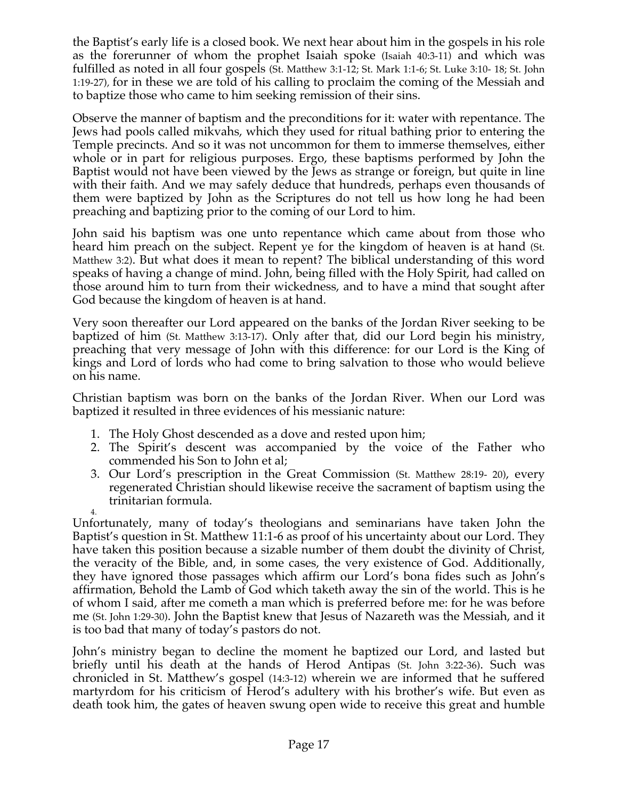the Baptist's early life is a closed book. We next hear about him in the gospels in his role as the forerunner of whom the prophet Isaiah spoke (Isaiah 40:3-11) and which was fulfilled as noted in all four gospels (St. Matthew 3:1-12; St. Mark 1:1-6; St. Luke 3:10- 18; St. John 1:19-27), for in these we are told of his calling to proclaim the coming of the Messiah and to baptize those who came to him seeking remission of their sins.

Observe the manner of baptism and the preconditions for it: water with repentance. The Jews had pools called mikvahs, which they used for ritual bathing prior to entering the Temple precincts. And so it was not uncommon for them to immerse themselves, either whole or in part for religious purposes. Ergo, these baptisms performed by John the Baptist would not have been viewed by the Jews as strange or foreign, but quite in line with their faith. And we may safely deduce that hundreds, perhaps even thousands of them were baptized by John as the Scriptures do not tell us how long he had been preaching and baptizing prior to the coming of our Lord to him.

John said his baptism was one unto repentance which came about from those who heard him preach on the subject. Repent ye for the kingdom of heaven is at hand (St. Matthew 3:2). But what does it mean to repent? The biblical understanding of this word speaks of having a change of mind. John, being filled with the Holy Spirit, had called on those around him to turn from their wickedness, and to have a mind that sought after God because the kingdom of heaven is at hand.

Very soon thereafter our Lord appeared on the banks of the Jordan River seeking to be baptized of him (St. Matthew 3:13-17). Only after that, did our Lord begin his ministry, preaching that very message of John with this difference: for our Lord is the King of kings and Lord of lords who had come to bring salvation to those who would believe on his name.

Christian baptism was born on the banks of the Jordan River. When our Lord was baptized it resulted in three evidences of his messianic nature:

- 1. The Holy Ghost descended as a dove and rested upon him;
- 2. The Spirit's descent was accompanied by the voice of the Father who commended his Son to John et al;
- 3. Our Lord's prescription in the Great Commission (St. Matthew 28:19- 20), every regenerated Christian should likewise receive the sacrament of baptism using the trinitarian formula.

4. Unfortunately, many of today's theologians and seminarians have taken John the Baptist's question in St. Matthew 11:1-6 as proof of his uncertainty about our Lord. They have taken this position because a sizable number of them doubt the divinity of Christ, the veracity of the Bible, and, in some cases, the very existence of God. Additionally, they have ignored those passages which affirm our Lord's bona fides such as John's affirmation, Behold the Lamb of God which taketh away the sin of the world. This is he of whom I said, after me cometh a man which is preferred before me: for he was before me (St. John 1:29-30). John the Baptist knew that Jesus of Nazareth was the Messiah, and it is too bad that many of today's pastors do not.

John's ministry began to decline the moment he baptized our Lord, and lasted but briefly until his death at the hands of Herod Antipas (St. John 3:22-36). Such was chronicled in St. Matthew's gospel (14:3-12) wherein we are informed that he suffered martyrdom for his criticism of Herod's adultery with his brother's wife. But even as death took him, the gates of heaven swung open wide to receive this great and humble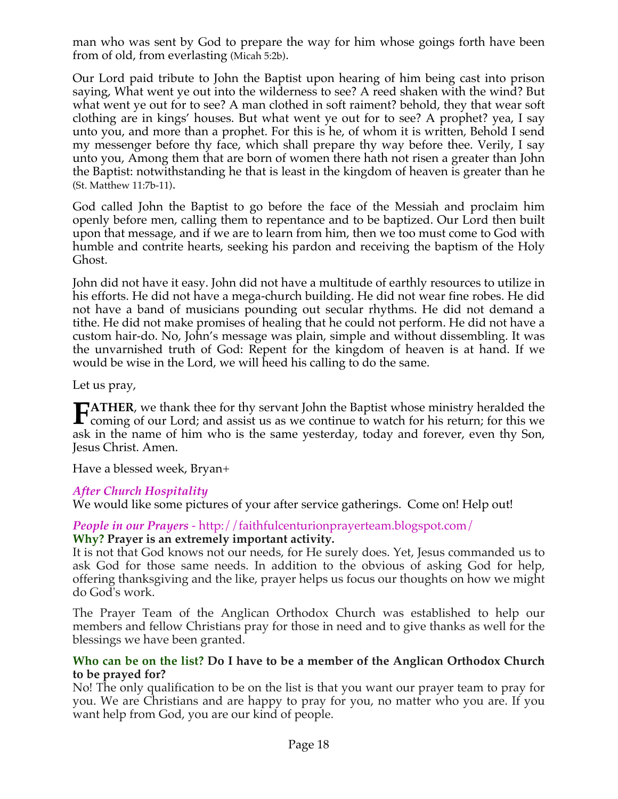man who was sent by God to prepare the way for him whose goings forth have been from of old, from everlasting (Micah 5:2b).

Our Lord paid tribute to John the Baptist upon hearing of him being cast into prison saying, What went ye out into the wilderness to see? A reed shaken with the wind? But what went ye out for to see? A man clothed in soft raiment? behold, they that wear soft clothing are in kings' houses. But what went ye out for to see? A prophet? yea, I say unto you, and more than a prophet. For this is he, of whom it is written, Behold I send my messenger before thy face, which shall prepare thy way before thee. Verily, I say unto you, Among them that are born of women there hath not risen a greater than John the Baptist: notwithstanding he that is least in the kingdom of heaven is greater than he (St. Matthew 11:7b-11).

God called John the Baptist to go before the face of the Messiah and proclaim him openly before men, calling them to repentance and to be baptized. Our Lord then built upon that message, and if we are to learn from him, then we too must come to God with humble and contrite hearts, seeking his pardon and receiving the baptism of the Holy Ghost.

John did not have it easy. John did not have a multitude of earthly resources to utilize in his efforts. He did not have a mega-church building. He did not wear fine robes. He did not have a band of musicians pounding out secular rhythms. He did not demand a tithe. He did not make promises of healing that he could not perform. He did not have a custom hair-do. No, John's message was plain, simple and without dissembling. It was the unvarnished truth of God: Repent for the kingdom of heaven is at hand. If we would be wise in the Lord, we will heed his calling to do the same.

Let us pray,

**ATHER**, we thank thee for thy servant John the Baptist whose ministry heralded the **FATHER**, we thank thee for thy servant John the Baptist whose ministry heralded the coming of our Lord; and assist us as we continue to watch for his return; for this we all in the set of this we continue to the set of th ask in the name of him who is the same yesterday, today and forever, even thy Son, Jesus Christ. Amen.

Have a blessed week, Bryan+

# *After Church Hospitality*

We would like some pictures of your after service gatherings. Come on! Help out!

#### *People in our Prayers* - http://faithfulcenturionprayerteam.blogspot.com/ **Why? Prayer is an extremely important activity.**

It is not that God knows not our needs, for He surely does. Yet, Jesus commanded us to ask God for those same needs. In addition to the obvious of asking God for help, offering thanksgiving and the like, prayer helps us focus our thoughts on how we might do God's work.

The Prayer Team of the Anglican Orthodox Church was established to help our members and fellow Christians pray for those in need and to give thanks as well for the blessings we have been granted.

#### **Who can be on the list? Do I have to be a member of the Anglican Orthodox Church to be prayed for?**

No! The only qualification to be on the list is that you want our prayer team to pray for you. We are Christians and are happy to pray for you, no matter who you are. If you want help from God, you are our kind of people.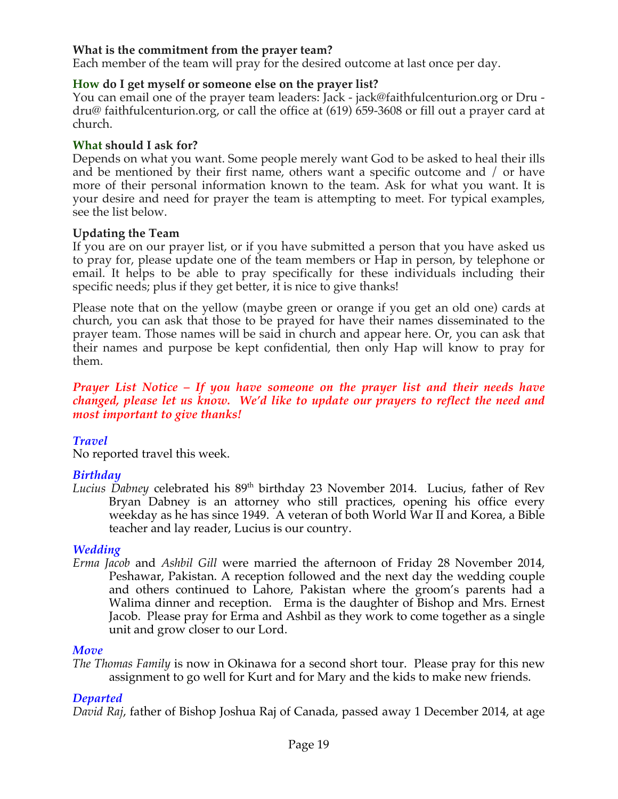#### **What is the commitment from the prayer team?**

Each member of the team will pray for the desired outcome at last once per day.

#### **How do I get myself or someone else on the prayer list?**

You can email one of the prayer team leaders: Jack - jack@faithfulcenturion.org or Dru dru@ faithfulcenturion.org, or call the office at (619) 659-3608 or fill out a prayer card at church.

#### **What should I ask for?**

Depends on what you want. Some people merely want God to be asked to heal their ills and be mentioned by their first name, others want a specific outcome and / or have more of their personal information known to the team. Ask for what you want. It is your desire and need for prayer the team is attempting to meet. For typical examples, see the list below.

#### **Updating the Team**

If you are on our prayer list, or if you have submitted a person that you have asked us to pray for, please update one of the team members or Hap in person, by telephone or email. It helps to be able to pray specifically for these individuals including their specific needs; plus if they get better, it is nice to give thanks!

Please note that on the yellow (maybe green or orange if you get an old one) cards at church, you can ask that those to be prayed for have their names disseminated to the prayer team. Those names will be said in church and appear here. Or, you can ask that their names and purpose be kept confidential, then only Hap will know to pray for them.

#### *Prayer List Notice – If you have someone on the prayer list and their needs have changed, please let us know. We'd like to update our prayers to reflect the need and most important to give thanks!*

#### *Travel*

No reported travel this week.

# *Birthday*

*Lucius Dabney* celebrated his 89<sup>th</sup> birthday 23 November 2014. Lucius, father of Rev Bryan Dabney is an attorney who still practices, opening his office every weekday as he has since 1949. A veteran of both World War II and Korea, a Bible teacher and lay reader, Lucius is our country.

#### *Wedding*

*Erma Jacob* and *Ashbil Gill* were married the afternoon of Friday 28 November 2014, Peshawar, Pakistan. A reception followed and the next day the wedding couple and others continued to Lahore, Pakistan where the groom's parents had a Walima dinner and reception. Erma is the daughter of Bishop and Mrs. Ernest Jacob. Please pray for Erma and Ashbil as they work to come together as a single unit and grow closer to our Lord.

#### *Move*

*The Thomas Family* is now in Okinawa for a second short tour. Please pray for this new assignment to go well for Kurt and for Mary and the kids to make new friends.

#### *Departed*

*David Raj*, father of Bishop Joshua Raj of Canada, passed away 1 December 2014, at age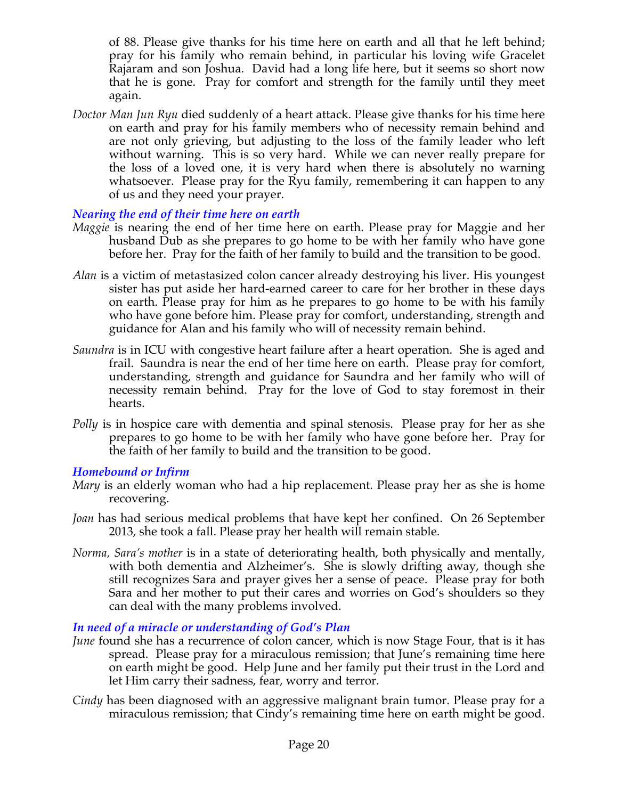of 88. Please give thanks for his time here on earth and all that he left behind; pray for his family who remain behind, in particular his loving wife Gracelet Rajaram and son Joshua. David had a long life here, but it seems so short now that he is gone. Pray for comfort and strength for the family until they meet again.

*Doctor Man Jun Ryu* died suddenly of a heart attack. Please give thanks for his time here on earth and pray for his family members who of necessity remain behind and are not only grieving, but adjusting to the loss of the family leader who left without warning. This is so very hard. While we can never really prepare for the loss of a loved one, it is very hard when there is absolutely no warning whatsoever. Please pray for the Ryu family, remembering it can happen to any of us and they need your prayer.

#### *Nearing the end of their time here on earth*

- *Maggie* is nearing the end of her time here on earth. Please pray for Maggie and her husband Dub as she prepares to go home to be with her family who have gone before her. Pray for the faith of her family to build and the transition to be good.
- *Alan* is a victim of metastasized colon cancer already destroying his liver. His youngest sister has put aside her hard-earned career to care for her brother in these days on earth. Please pray for him as he prepares to go home to be with his family who have gone before him. Please pray for comfort, understanding, strength and guidance for Alan and his family who will of necessity remain behind.
- *Saundra* is in ICU with congestive heart failure after a heart operation. She is aged and frail. Saundra is near the end of her time here on earth. Please pray for comfort, understanding, strength and guidance for Saundra and her family who will of necessity remain behind. Pray for the love of God to stay foremost in their hearts.
- *Polly* is in hospice care with dementia and spinal stenosis. Please pray for her as she prepares to go home to be with her family who have gone before her. Pray for the faith of her family to build and the transition to be good.

#### *Homebound or Infirm*

- *Mary* is an elderly woman who had a hip replacement. Please pray her as she is home recovering.
- *Joan* has had serious medical problems that have kept her confined. On 26 September 2013, she took a fall. Please pray her health will remain stable.
- *Norma, Sara's mother* is in a state of deteriorating health, both physically and mentally, with both dementia and Alzheimer's. She is slowly drifting away, though she still recognizes Sara and prayer gives her a sense of peace. Please pray for both Sara and her mother to put their cares and worries on God's shoulders so they can deal with the many problems involved.

# *In need of a miracle or understanding of God's Plan*

- *June* found she has a recurrence of colon cancer, which is now Stage Four, that is it has spread. Please pray for a miraculous remission; that June's remaining time here on earth might be good. Help June and her family put their trust in the Lord and let Him carry their sadness, fear, worry and terror.
- *Cindy* has been diagnosed with an aggressive malignant brain tumor. Please pray for a miraculous remission; that Cindy's remaining time here on earth might be good.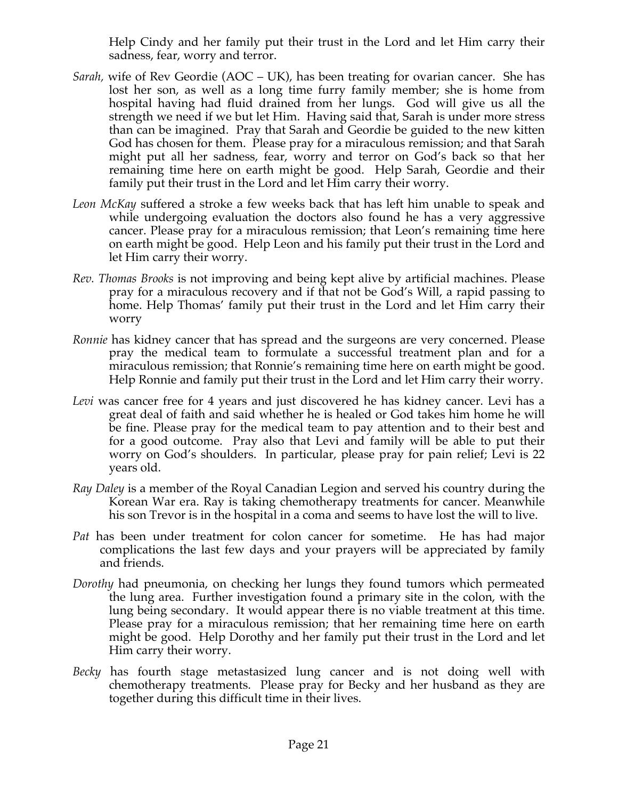Help Cindy and her family put their trust in the Lord and let Him carry their sadness, fear, worry and terror.

- *Sarah,* wife of Rev Geordie (AOC UK), has been treating for ovarian cancer. She has lost her son, as well as a long time furry family member; she is home from hospital having had fluid drained from her lungs. God will give us all the strength we need if we but let Him. Having said that, Sarah is under more stress than can be imagined. Pray that Sarah and Geordie be guided to the new kitten God has chosen for them. Please pray for a miraculous remission; and that Sarah might put all her sadness, fear, worry and terror on God's back so that her remaining time here on earth might be good. Help Sarah, Geordie and their family put their trust in the Lord and let Him carry their worry.
- *Leon McKay* suffered a stroke a few weeks back that has left him unable to speak and while undergoing evaluation the doctors also found he has a very aggressive cancer. Please pray for a miraculous remission; that Leon's remaining time here on earth might be good. Help Leon and his family put their trust in the Lord and let Him carry their worry.
- *Rev. Thomas Brooks* is not improving and being kept alive by artificial machines. Please pray for a miraculous recovery and if that not be God's Will, a rapid passing to home. Help Thomas' family put their trust in the Lord and let Him carry their worry
- *Ronnie* has kidney cancer that has spread and the surgeons are very concerned. Please pray the medical team to formulate a successful treatment plan and for a miraculous remission; that Ronnie's remaining time here on earth might be good. Help Ronnie and family put their trust in the Lord and let Him carry their worry.
- *Levi* was cancer free for 4 years and just discovered he has kidney cancer. Levi has a great deal of faith and said whether he is healed or God takes him home he will be fine. Please pray for the medical team to pay attention and to their best and for a good outcome. Pray also that Levi and family will be able to put their worry on God's shoulders. In particular, please pray for pain relief; Levi is 22 years old.
- *Ray Daley* is a member of the Royal Canadian Legion and served his country during the Korean War era. Ray is taking chemotherapy treatments for cancer. Meanwhile his son Trevor is in the hospital in a coma and seems to have lost the will to live.
- *Pat* has been under treatment for colon cancer for sometime. He has had major complications the last few days and your prayers will be appreciated by family and friends.
- *Dorothy* had pneumonia, on checking her lungs they found tumors which permeated the lung area. Further investigation found a primary site in the colon, with the lung being secondary. It would appear there is no viable treatment at this time. Please pray for a miraculous remission; that her remaining time here on earth might be good. Help Dorothy and her family put their trust in the Lord and let Him carry their worry.
- *Becky* has fourth stage metastasized lung cancer and is not doing well with chemotherapy treatments. Please pray for Becky and her husband as they are together during this difficult time in their lives.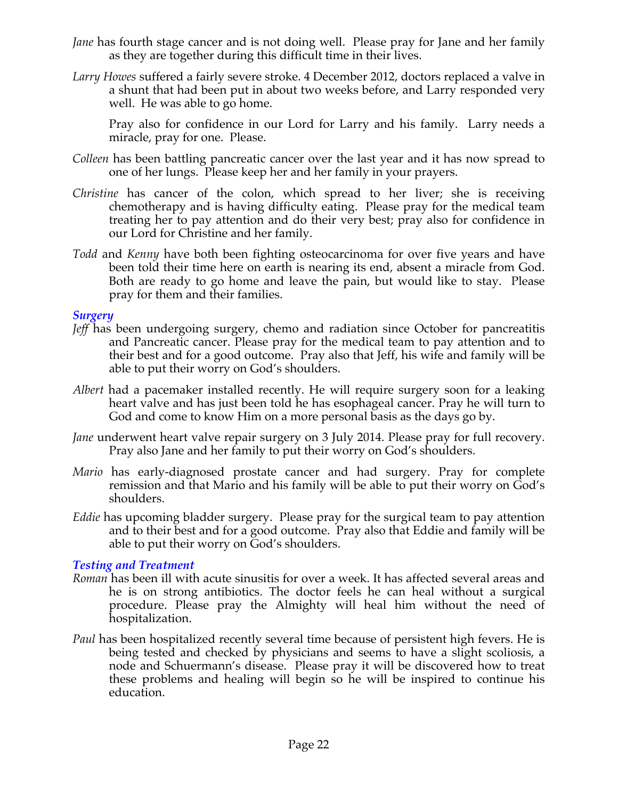- *Jane* has fourth stage cancer and is not doing well. Please pray for Jane and her family as they are together during this difficult time in their lives.
- *Larry Howes* suffered a fairly severe stroke. 4 December 2012, doctors replaced a valve in a shunt that had been put in about two weeks before, and Larry responded very well. He was able to go home.

Pray also for confidence in our Lord for Larry and his family. Larry needs a miracle, pray for one. Please.

- *Colleen* has been battling pancreatic cancer over the last year and it has now spread to one of her lungs. Please keep her and her family in your prayers.
- *Christine* has cancer of the colon, which spread to her liver; she is receiving chemotherapy and is having difficulty eating. Please pray for the medical team treating her to pay attention and do their very best; pray also for confidence in our Lord for Christine and her family.
- *Todd* and *Kenny* have both been fighting osteocarcinoma for over five years and have been told their time here on earth is nearing its end, absent a miracle from God. Both are ready to go home and leave the pain, but would like to stay. Please pray for them and their families.

#### *Surgery*

- *Jeff* has been undergoing surgery, chemo and radiation since October for pancreatitis and Pancreatic cancer. Please pray for the medical team to pay attention and to their best and for a good outcome. Pray also that Jeff, his wife and family will be able to put their worry on God's shoulders.
- *Albert* had a pacemaker installed recently. He will require surgery soon for a leaking heart valve and has just been told he has esophageal cancer. Pray he will turn to God and come to know Him on a more personal basis as the days go by.
- *Jane* underwent heart valve repair surgery on 3 July 2014. Please pray for full recovery. Pray also Jane and her family to put their worry on God's shoulders.
- *Mario* has early-diagnosed prostate cancer and had surgery. Pray for complete remission and that Mario and his family will be able to put their worry on God's shoulders.
- *Eddie* has upcoming bladder surgery. Please pray for the surgical team to pay attention and to their best and for a good outcome. Pray also that Eddie and family will be able to put their worry on God's shoulders.

#### *Testing and Treatment*

- *Roman* has been ill with acute sinusitis for over a week. It has affected several areas and he is on strong antibiotics. The doctor feels he can heal without a surgical procedure. Please pray the Almighty will heal him without the need of hospitalization.
- *Paul* has been hospitalized recently several time because of persistent high fevers. He is being tested and checked by physicians and seems to have a slight scoliosis, a node and Schuermann's disease. Please pray it will be discovered how to treat these problems and healing will begin so he will be inspired to continue his education.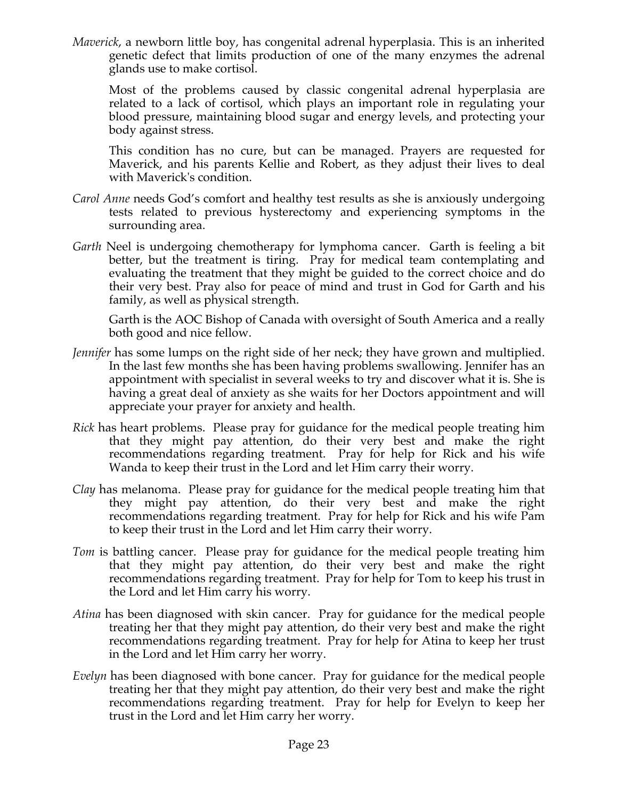*Maverick*, a newborn little boy, has congenital adrenal hyperplasia. This is an inherited genetic defect that limits production of one of the many enzymes the adrenal glands use to make cortisol.

Most of the problems caused by classic congenital adrenal hyperplasia are related to a lack of cortisol, which plays an important role in regulating your blood pressure, maintaining blood sugar and energy levels, and protecting your body against stress.

This condition has no cure, but can be managed. Prayers are requested for Maverick, and his parents Kellie and Robert, as they adjust their lives to deal with Maverick's condition.

- *Carol Anne* needs God's comfort and healthy test results as she is anxiously undergoing tests related to previous hysterectomy and experiencing symptoms in the surrounding area.
- *Garth* Neel is undergoing chemotherapy for lymphoma cancer. Garth is feeling a bit better, but the treatment is tiring. Pray for medical team contemplating and evaluating the treatment that they might be guided to the correct choice and do their very best. Pray also for peace of mind and trust in God for Garth and his family, as well as physical strength.

Garth is the AOC Bishop of Canada with oversight of South America and a really both good and nice fellow.

- *Jennifer* has some lumps on the right side of her neck; they have grown and multiplied. In the last few months she has been having problems swallowing. Jennifer has an appointment with specialist in several weeks to try and discover what it is. She is having a great deal of anxiety as she waits for her Doctors appointment and will appreciate your prayer for anxiety and health.
- *Rick* has heart problems. Please pray for guidance for the medical people treating him that they might pay attention, do their very best and make the right recommendations regarding treatment. Pray for help for Rick and his wife Wanda to keep their trust in the Lord and let Him carry their worry.
- *Clay* has melanoma. Please pray for guidance for the medical people treating him that they might pay attention, do their very best and make the right recommendations regarding treatment. Pray for help for Rick and his wife Pam to keep their trust in the Lord and let Him carry their worry.
- *Tom* is battling cancer. Please pray for guidance for the medical people treating him that they might pay attention, do their very best and make the right recommendations regarding treatment. Pray for help for Tom to keep his trust in the Lord and let Him carry his worry.
- *Atina* has been diagnosed with skin cancer. Pray for guidance for the medical people treating her that they might pay attention, do their very best and make the right recommendations regarding treatment. Pray for help for Atina to keep her trust in the Lord and let Him carry her worry.
- *Evelyn* has been diagnosed with bone cancer. Pray for guidance for the medical people treating her that they might pay attention, do their very best and make the right recommendations regarding treatment. Pray for help for Evelyn to keep her trust in the Lord and let Him carry her worry.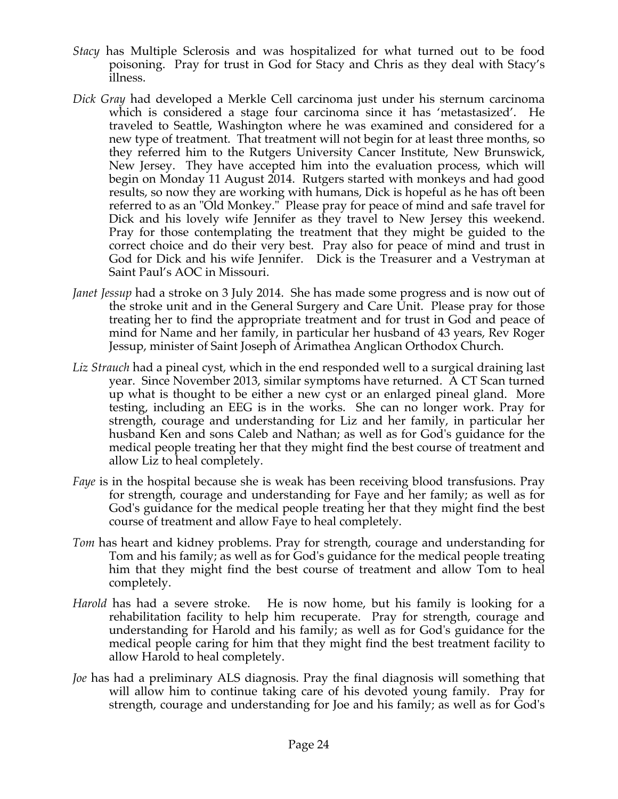- *Stacy* has Multiple Sclerosis and was hospitalized for what turned out to be food poisoning. Pray for trust in God for Stacy and Chris as they deal with Stacy's illness.
- *Dick Gray* had developed a Merkle Cell carcinoma just under his sternum carcinoma which is considered a stage four carcinoma since it has 'metastasized'. He traveled to Seattle, Washington where he was examined and considered for a new type of treatment. That treatment will not begin for at least three months, so they referred him to the Rutgers University Cancer Institute, New Brunswick, New Jersey. They have accepted him into the evaluation process, which will begin on Monday 11 August 2014. Rutgers started with monkeys and had good results, so now they are working with humans, Dick is hopeful as he has oft been referred to as an "Old Monkey." Please pray for peace of mind and safe travel for Dick and his lovely wife Jennifer as they travel to New Jersey this weekend. Pray for those contemplating the treatment that they might be guided to the correct choice and do their very best. Pray also for peace of mind and trust in God for Dick and his wife Jennifer. Dick is the Treasurer and a Vestryman at Saint Paul's AOC in Missouri.
- *Janet Jessup* had a stroke on 3 July 2014. She has made some progress and is now out of the stroke unit and in the General Surgery and Care Unit. Please pray for those treating her to find the appropriate treatment and for trust in God and peace of mind for Name and her family, in particular her husband of 43 years, Rev Roger Jessup, minister of Saint Joseph of Arimathea Anglican Orthodox Church.
- *Liz Strauch* had a pineal cyst, which in the end responded well to a surgical draining last year. Since November 2013, similar symptoms have returned. A CT Scan turned up what is thought to be either a new cyst or an enlarged pineal gland. More testing, including an EEG is in the works. She can no longer work. Pray for strength, courage and understanding for Liz and her family, in particular her husband Ken and sons Caleb and Nathan; as well as for God's guidance for the medical people treating her that they might find the best course of treatment and allow Liz to heal completely.
- *Faye* is in the hospital because she is weak has been receiving blood transfusions. Pray for strength, courage and understanding for Faye and her family; as well as for God's guidance for the medical people treating her that they might find the best course of treatment and allow Faye to heal completely.
- *Tom* has heart and kidney problems. Pray for strength, courage and understanding for Tom and his family; as well as for God's guidance for the medical people treating him that they might find the best course of treatment and allow Tom to heal completely.
- *Harold* has had a severe stroke. He is now home, but his family is looking for a rehabilitation facility to help him recuperate. Pray for strength, courage and understanding for Harold and his family; as well as for God's guidance for the medical people caring for him that they might find the best treatment facility to allow Harold to heal completely.
- *Joe* has had a preliminary ALS diagnosis. Pray the final diagnosis will something that will allow him to continue taking care of his devoted young family. Pray for strength, courage and understanding for Joe and his family; as well as for God's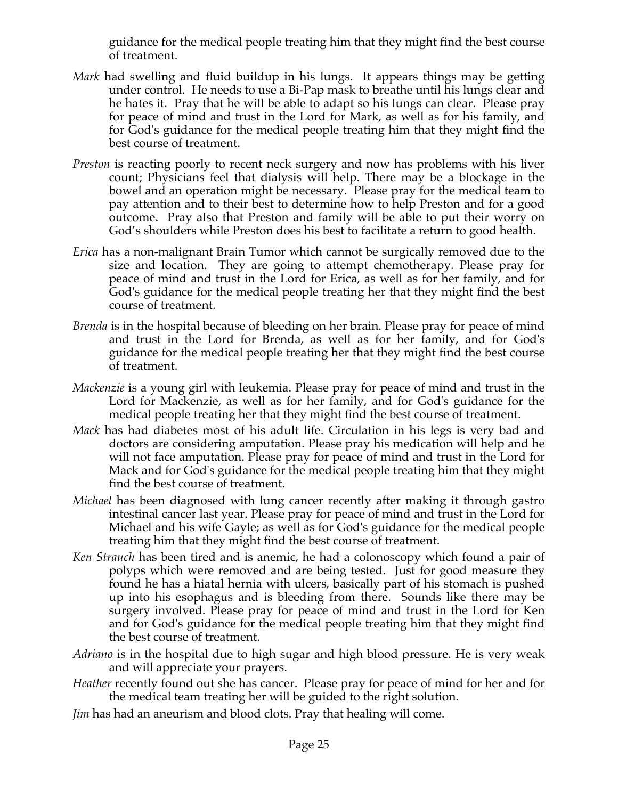guidance for the medical people treating him that they might find the best course of treatment.

- *Mark* had swelling and fluid buildup in his lungs. It appears things may be getting under control. He needs to use a Bi-Pap mask to breathe until his lungs clear and he hates it. Pray that he will be able to adapt so his lungs can clear. Please pray for peace of mind and trust in the Lord for Mark, as well as for his family, and for God's guidance for the medical people treating him that they might find the best course of treatment.
- *Preston* is reacting poorly to recent neck surgery and now has problems with his liver count; Physicians feel that dialysis will help. There may be a blockage in the bowel and an operation might be necessary. Please pray for the medical team to pay attention and to their best to determine how to help Preston and for a good outcome. Pray also that Preston and family will be able to put their worry on God's shoulders while Preston does his best to facilitate a return to good health.
- *Erica* has a non-malignant Brain Tumor which cannot be surgically removed due to the size and location. They are going to attempt chemotherapy. Please pray for peace of mind and trust in the Lord for Erica, as well as for her family, and for God's guidance for the medical people treating her that they might find the best course of treatment.
- *Brenda* is in the hospital because of bleeding on her brain. Please pray for peace of mind and trust in the Lord for Brenda, as well as for her family, and for God's guidance for the medical people treating her that they might find the best course of treatment.
- *Mackenzie* is a young girl with leukemia. Please pray for peace of mind and trust in the Lord for Mackenzie, as well as for her family, and for God's guidance for the medical people treating her that they might find the best course of treatment.
- *Mack* has had diabetes most of his adult life. Circulation in his legs is very bad and doctors are considering amputation. Please pray his medication will help and he will not face amputation. Please pray for peace of mind and trust in the Lord for Mack and for God's guidance for the medical people treating him that they might find the best course of treatment.
- *Michael* has been diagnosed with lung cancer recently after making it through gastro intestinal cancer last year. Please pray for peace of mind and trust in the Lord for Michael and his wife Gayle; as well as for God's guidance for the medical people treating him that they might find the best course of treatment.
- *Ken Strauch* has been tired and is anemic, he had a colonoscopy which found a pair of polyps which were removed and are being tested. Just for good measure they found he has a hiatal hernia with ulcers, basically part of his stomach is pushed up into his esophagus and is bleeding from there. Sounds like there may be surgery involved. Please pray for peace of mind and trust in the Lord for Ken and for God's guidance for the medical people treating him that they might find the best course of treatment.
- *Adriano* is in the hospital due to high sugar and high blood pressure. He is very weak and will appreciate your prayers.
- *Heather* recently found out she has cancer. Please pray for peace of mind for her and for the medical team treating her will be guided to the right solution.
- *Jim* has had an aneurism and blood clots. Pray that healing will come.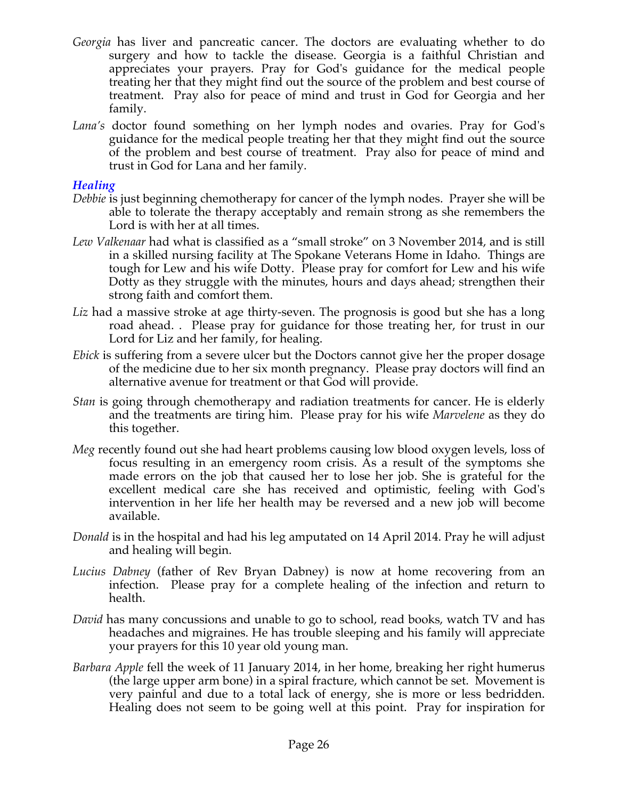- *Georgia* has liver and pancreatic cancer. The doctors are evaluating whether to do surgery and how to tackle the disease. Georgia is a faithful Christian and appreciates your prayers. Pray for God's guidance for the medical people treating her that they might find out the source of the problem and best course of treatment. Pray also for peace of mind and trust in God for Georgia and her family.
- *Lana's* doctor found something on her lymph nodes and ovaries. Pray for God's guidance for the medical people treating her that they might find out the source of the problem and best course of treatment. Pray also for peace of mind and trust in God for Lana and her family.

#### *Healing*

- *Debbie* is just beginning chemotherapy for cancer of the lymph nodes. Prayer she will be able to tolerate the therapy acceptably and remain strong as she remembers the Lord is with her at all times.
- *Lew Valkenaar* had what is classified as a "small stroke" on 3 November 2014, and is still in a skilled nursing facility at The Spokane Veterans Home in Idaho. Things are tough for Lew and his wife Dotty. Please pray for comfort for Lew and his wife Dotty as they struggle with the minutes, hours and days ahead; strengthen their strong faith and comfort them.
- *Liz* had a massive stroke at age thirty-seven. The prognosis is good but she has a long road ahead. . Please pray for guidance for those treating her, for trust in our Lord for Liz and her family, for healing.
- *Ebick* is suffering from a severe ulcer but the Doctors cannot give her the proper dosage of the medicine due to her six month pregnancy. Please pray doctors will find an alternative avenue for treatment or that God will provide.
- *Stan* is going through chemotherapy and radiation treatments for cancer. He is elderly and the treatments are tiring him. Please pray for his wife *Marvelene* as they do this together.
- *Meg* recently found out she had heart problems causing low blood oxygen levels, loss of focus resulting in an emergency room crisis. As a result of the symptoms she made errors on the job that caused her to lose her job. She is grateful for the excellent medical care she has received and optimistic, feeling with God's intervention in her life her health may be reversed and a new job will become available.
- *Donald* is in the hospital and had his leg amputated on 14 April 2014. Pray he will adjust and healing will begin.
- *Lucius Dabney* (father of Rev Bryan Dabney) is now at home recovering from an infection. Please pray for a complete healing of the infection and return to health.
- *David* has many concussions and unable to go to school, read books, watch TV and has headaches and migraines. He has trouble sleeping and his family will appreciate your prayers for this 10 year old young man.
- *Barbara Apple* fell the week of 11 January 2014, in her home, breaking her right humerus (the large upper arm bone) in a spiral fracture, which cannot be set. Movement is very painful and due to a total lack of energy, she is more or less bedridden. Healing does not seem to be going well at this point. Pray for inspiration for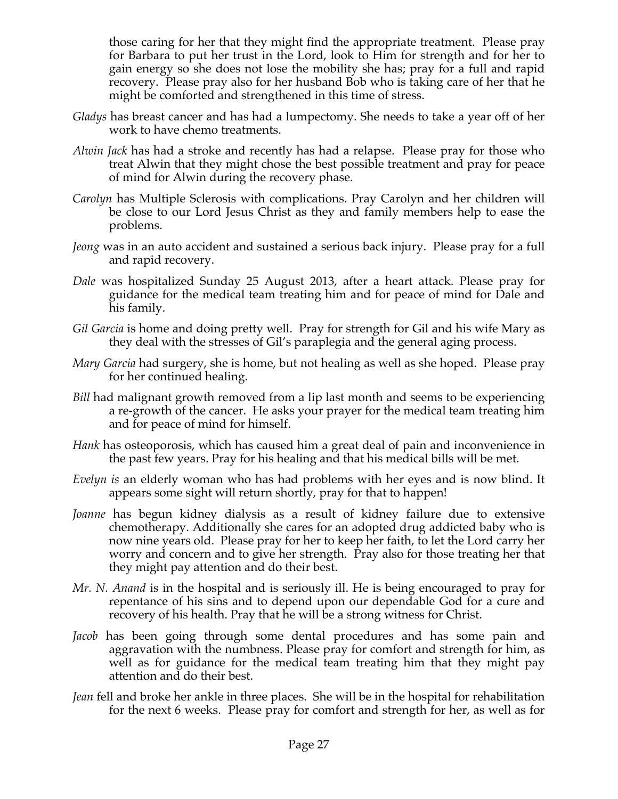those caring for her that they might find the appropriate treatment. Please pray for Barbara to put her trust in the Lord, look to Him for strength and for her to gain energy so she does not lose the mobility she has; pray for a full and rapid recovery. Please pray also for her husband Bob who is taking care of her that he might be comforted and strengthened in this time of stress.

- *Gladys* has breast cancer and has had a lumpectomy. She needs to take a year off of her work to have chemo treatments.
- *Alwin Jack* has had a stroke and recently has had a relapse. Please pray for those who treat Alwin that they might chose the best possible treatment and pray for peace of mind for Alwin during the recovery phase.
- *Carolyn* has Multiple Sclerosis with complications. Pray Carolyn and her children will be close to our Lord Jesus Christ as they and family members help to ease the problems.
- *Jeong* was in an auto accident and sustained a serious back injury. Please pray for a full and rapid recovery.
- *Dale* was hospitalized Sunday 25 August 2013, after a heart attack. Please pray for guidance for the medical team treating him and for peace of mind for Dale and his family.
- *Gil Garcia* is home and doing pretty well. Pray for strength for Gil and his wife Mary as they deal with the stresses of Gil's paraplegia and the general aging process.
- *Mary Garcia* had surgery, she is home, but not healing as well as she hoped. Please pray for her continued healing.
- *Bill* had malignant growth removed from a lip last month and seems to be experiencing a re-growth of the cancer. He asks your prayer for the medical team treating him and for peace of mind for himself.
- *Hank* has osteoporosis, which has caused him a great deal of pain and inconvenience in the past few years. Pray for his healing and that his medical bills will be met.
- *Evelyn is* an elderly woman who has had problems with her eyes and is now blind. It appears some sight will return shortly, pray for that to happen!
- *Joanne* has begun kidney dialysis as a result of kidney failure due to extensive chemotherapy. Additionally she cares for an adopted drug addicted baby who is now nine years old. Please pray for her to keep her faith, to let the Lord carry her worry and concern and to give her strength. Pray also for those treating her that they might pay attention and do their best.
- *Mr. N. Anand* is in the hospital and is seriously ill. He is being encouraged to pray for repentance of his sins and to depend upon our dependable God for a cure and recovery of his health. Pray that he will be a strong witness for Christ.
- *Jacob* has been going through some dental procedures and has some pain and aggravation with the numbness. Please pray for comfort and strength for him, as well as for guidance for the medical team treating him that they might pay attention and do their best.
- *Jean* fell and broke her ankle in three places. She will be in the hospital for rehabilitation for the next 6 weeks. Please pray for comfort and strength for her, as well as for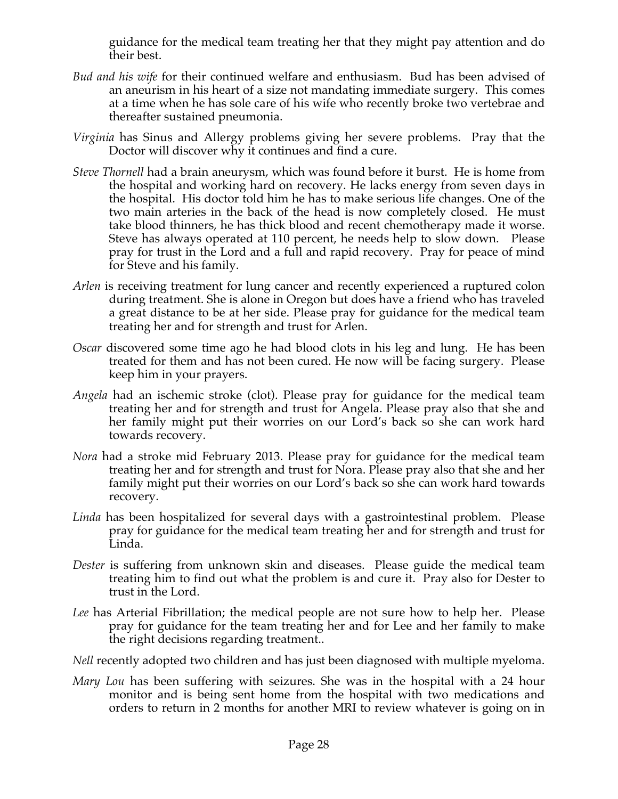guidance for the medical team treating her that they might pay attention and do their best.

- *Bud and his wife* for their continued welfare and enthusiasm. Bud has been advised of an aneurism in his heart of a size not mandating immediate surgery. This comes at a time when he has sole care of his wife who recently broke two vertebrae and thereafter sustained pneumonia.
- *Virginia* has Sinus and Allergy problems giving her severe problems. Pray that the Doctor will discover why it continues and find a cure.
- *Steve Thornell* had a brain aneurysm, which was found before it burst. He is home from the hospital and working hard on recovery. He lacks energy from seven days in the hospital. His doctor told him he has to make serious life changes. One of the two main arteries in the back of the head is now completely closed. He must take blood thinners, he has thick blood and recent chemotherapy made it worse. Steve has always operated at 110 percent, he needs help to slow down. Please pray for trust in the Lord and a full and rapid recovery. Pray for peace of mind for Steve and his family.
- *Arlen* is receiving treatment for lung cancer and recently experienced a ruptured colon during treatment. She is alone in Oregon but does have a friend who has traveled a great distance to be at her side. Please pray for guidance for the medical team treating her and for strength and trust for Arlen.
- *Oscar* discovered some time ago he had blood clots in his leg and lung. He has been treated for them and has not been cured. He now will be facing surgery. Please keep him in your prayers.
- *Angela* had an ischemic stroke (clot). Please pray for guidance for the medical team treating her and for strength and trust for Angela. Please pray also that she and her family might put their worries on our Lord's back so she can work hard towards recovery.
- *Nora* had a stroke mid February 2013. Please pray for guidance for the medical team treating her and for strength and trust for Nora. Please pray also that she and her family might put their worries on our Lord's back so she can work hard towards recovery.
- *Linda* has been hospitalized for several days with a gastrointestinal problem. Please pray for guidance for the medical team treating her and for strength and trust for Linda.
- *Dester* is suffering from unknown skin and diseases. Please guide the medical team treating him to find out what the problem is and cure it. Pray also for Dester to trust in the Lord.
- *Lee* has Arterial Fibrillation; the medical people are not sure how to help her. Please pray for guidance for the team treating her and for Lee and her family to make the right decisions regarding treatment..
- *Nell* recently adopted two children and has just been diagnosed with multiple myeloma.
- *Mary Lou* has been suffering with seizures. She was in the hospital with a 24 hour monitor and is being sent home from the hospital with two medications and orders to return in 2 months for another MRI to review whatever is going on in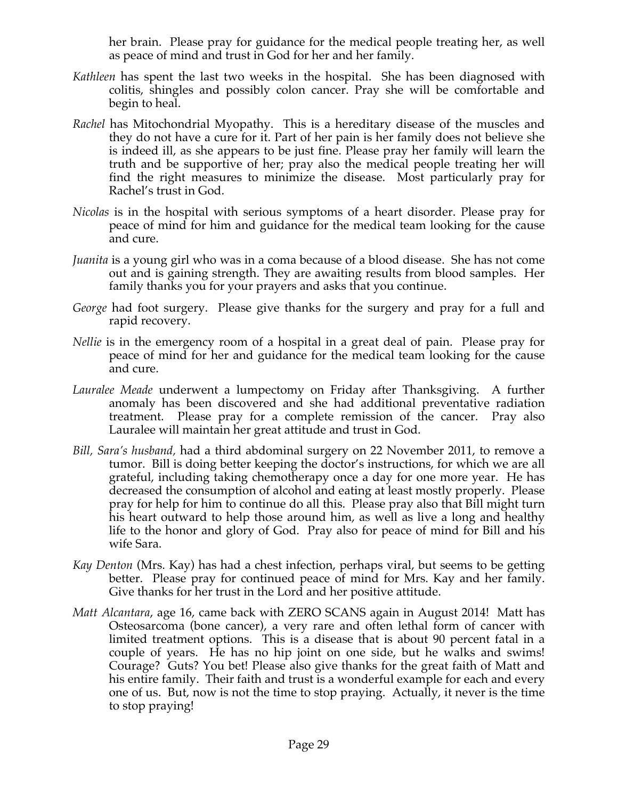her brain. Please pray for guidance for the medical people treating her, as well as peace of mind and trust in God for her and her family.

- *Kathleen* has spent the last two weeks in the hospital. She has been diagnosed with colitis, shingles and possibly colon cancer. Pray she will be comfortable and begin to heal.
- *Rachel* has Mitochondrial Myopathy. This is a hereditary disease of the muscles and they do not have a cure for it. Part of her pain is her family does not believe she is indeed ill, as she appears to be just fine. Please pray her family will learn the truth and be supportive of her; pray also the medical people treating her will find the right measures to minimize the disease. Most particularly pray for Rachel's trust in God.
- *Nicolas* is in the hospital with serious symptoms of a heart disorder. Please pray for peace of mind for him and guidance for the medical team looking for the cause and cure.
- *Juanita* is a young girl who was in a coma because of a blood disease. She has not come out and is gaining strength. They are awaiting results from blood samples. Her family thanks you for your prayers and asks that you continue.
- *George* had foot surgery. Please give thanks for the surgery and pray for a full and rapid recovery.
- *Nellie* is in the emergency room of a hospital in a great deal of pain. Please pray for peace of mind for her and guidance for the medical team looking for the cause and cure.
- *Lauralee Meade* underwent a lumpectomy on Friday after Thanksgiving. A further anomaly has been discovered and she had additional preventative radiation treatment. Please pray for a complete remission of the cancer. Pray also Lauralee will maintain her great attitude and trust in God.
- *Bill, Sara's husband,* had a third abdominal surgery on 22 November 2011, to remove a tumor. Bill is doing better keeping the doctor's instructions, for which we are all grateful, including taking chemotherapy once a day for one more year. He has decreased the consumption of alcohol and eating at least mostly properly. Please pray for help for him to continue do all this. Please pray also that Bill might turn his heart outward to help those around him, as well as live a long and healthy life to the honor and glory of God. Pray also for peace of mind for Bill and his wife Sara.
- *Kay Denton* (Mrs. Kay) has had a chest infection, perhaps viral, but seems to be getting better. Please pray for continued peace of mind for Mrs. Kay and her family. Give thanks for her trust in the Lord and her positive attitude.
- *Matt Alcantara*, age 16, came back with ZERO SCANS again in August 2014! Matt has Osteosarcoma (bone cancer), a very rare and often lethal form of cancer with limited treatment options. This is a disease that is about 90 percent fatal in a couple of years. He has no hip joint on one side, but he walks and swims! Courage? Guts? You bet! Please also give thanks for the great faith of Matt and his entire family. Their faith and trust is a wonderful example for each and every one of us. But, now is not the time to stop praying. Actually, it never is the time to stop praying!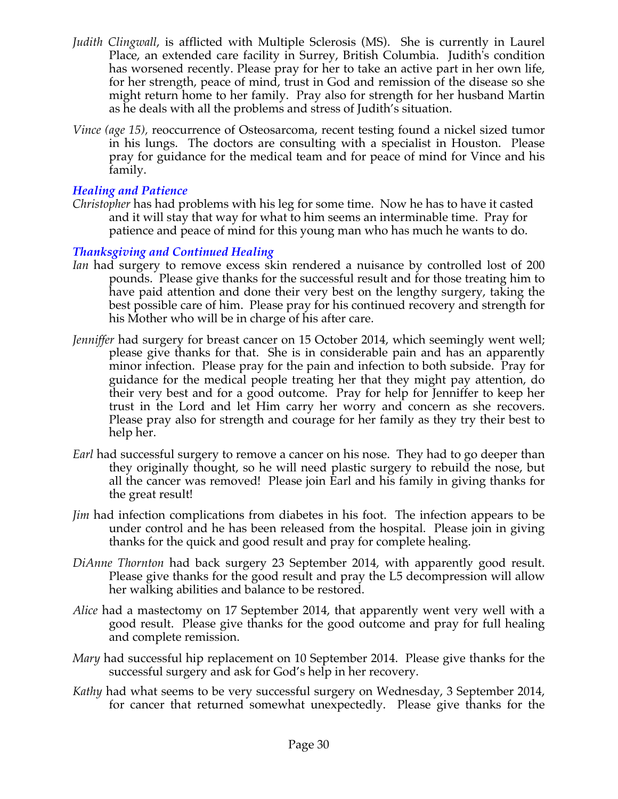- *Judith Clingwall*, is afflicted with Multiple Sclerosis (MS). She is currently in Laurel Place, an extended care facility in Surrey, British Columbia. Judith's condition has worsened recently. Please pray for her to take an active part in her own life, for her strength, peace of mind, trust in God and remission of the disease so she might return home to her family. Pray also for strength for her husband Martin as he deals with all the problems and stress of Judith's situation.
- *Vince (age 15),* reoccurrence of Osteosarcoma, recent testing found a nickel sized tumor in his lungs. The doctors are consulting with a specialist in Houston. Please pray for guidance for the medical team and for peace of mind for Vince and his family.

#### *Healing and Patience*

*Christopher* has had problems with his leg for some time. Now he has to have it casted and it will stay that way for what to him seems an interminable time. Pray for patience and peace of mind for this young man who has much he wants to do.

# *Thanksgiving and Continued Healing*

- *Ian* had surgery to remove excess skin rendered a nuisance by controlled lost of 200 pounds. Please give thanks for the successful result and for those treating him to have paid attention and done their very best on the lengthy surgery, taking the best possible care of him. Please pray for his continued recovery and strength for his Mother who will be in charge of his after care.
- *Jenniffer* had surgery for breast cancer on 15 October 2014, which seemingly went well; please give thanks for that. She is in considerable pain and has an apparently minor infection. Please pray for the pain and infection to both subside. Pray for guidance for the medical people treating her that they might pay attention, do their very best and for a good outcome. Pray for help for Jenniffer to keep her trust in the Lord and let Him carry her worry and concern as she recovers. Please pray also for strength and courage for her family as they try their best to help her.
- *Earl* had successful surgery to remove a cancer on his nose. They had to go deeper than they originally thought, so he will need plastic surgery to rebuild the nose, but all the cancer was removed! Please join Earl and his family in giving thanks for the great result!
- *Jim* had infection complications from diabetes in his foot. The infection appears to be under control and he has been released from the hospital. Please join in giving thanks for the quick and good result and pray for complete healing.
- *DiAnne Thornton* had back surgery 23 September 2014, with apparently good result. Please give thanks for the good result and pray the L5 decompression will allow her walking abilities and balance to be restored.
- *Alice* had a mastectomy on 17 September 2014, that apparently went very well with a good result. Please give thanks for the good outcome and pray for full healing and complete remission.
- *Mary* had successful hip replacement on 10 September 2014. Please give thanks for the successful surgery and ask for God's help in her recovery.
- *Kathy* had what seems to be very successful surgery on Wednesday, 3 September 2014, for cancer that returned somewhat unexpectedly. Please give thanks for the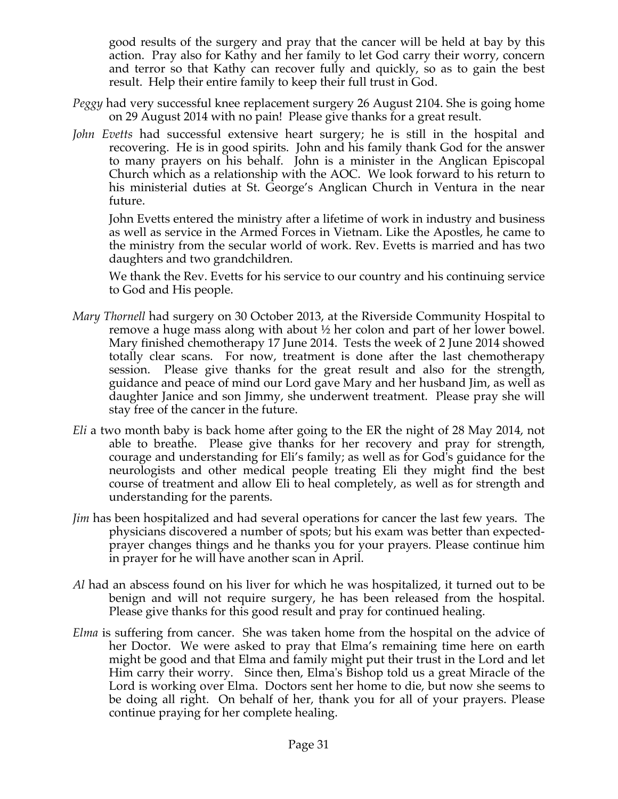good results of the surgery and pray that the cancer will be held at bay by this action. Pray also for Kathy and her family to let God carry their worry, concern and terror so that Kathy can recover fully and quickly, so as to gain the best result. Help their entire family to keep their full trust in God.

- *Peggy* had very successful knee replacement surgery 26 August 2104. She is going home on 29 August 2014 with no pain! Please give thanks for a great result.
- *John Evetts* had successful extensive heart surgery; he is still in the hospital and recovering. He is in good spirits. John and his family thank God for the answer to many prayers on his behalf. John is a minister in the Anglican Episcopal Church which as a relationship with the AOC. We look forward to his return to his ministerial duties at St. George's Anglican Church in Ventura in the near future.

John Evetts entered the ministry after a lifetime of work in industry and business as well as service in the Armed Forces in Vietnam. Like the Apostles, he came to the ministry from the secular world of work. Rev. Evetts is married and has two daughters and two grandchildren.

We thank the Rev. Evetts for his service to our country and his continuing service to God and His people.

- *Mary Thornell* had surgery on 30 October 2013, at the Riverside Community Hospital to remove a huge mass along with about ½ her colon and part of her lower bowel. Mary finished chemotherapy 17 June 2014. Tests the week of 2 June 2014 showed totally clear scans. For now, treatment is done after the last chemotherapy session. Please give thanks for the great result and also for the strength, guidance and peace of mind our Lord gave Mary and her husband Jim, as well as daughter Janice and son Jimmy, she underwent treatment. Please pray she will stay free of the cancer in the future.
- *Eli* a two month baby is back home after going to the ER the night of 28 May 2014, not able to breathe. Please give thanks for her recovery and pray for strength, courage and understanding for Eli's family; as well as for God's guidance for the neurologists and other medical people treating Eli they might find the best course of treatment and allow Eli to heal completely, as well as for strength and understanding for the parents.
- *Jim* has been hospitalized and had several operations for cancer the last few years. The physicians discovered a number of spots; but his exam was better than expectedprayer changes things and he thanks you for your prayers. Please continue him in prayer for he will have another scan in April.
- *Al* had an abscess found on his liver for which he was hospitalized, it turned out to be benign and will not require surgery, he has been released from the hospital. Please give thanks for this good result and pray for continued healing.
- *Elma* is suffering from cancer. She was taken home from the hospital on the advice of her Doctor. We were asked to pray that Elma's remaining time here on earth might be good and that Elma and family might put their trust in the Lord and let Him carry their worry. Since then, Elma's Bishop told us a great Miracle of the Lord is working over Elma. Doctors sent her home to die, but now she seems to be doing all right. On behalf of her, thank you for all of your prayers. Please continue praying for her complete healing.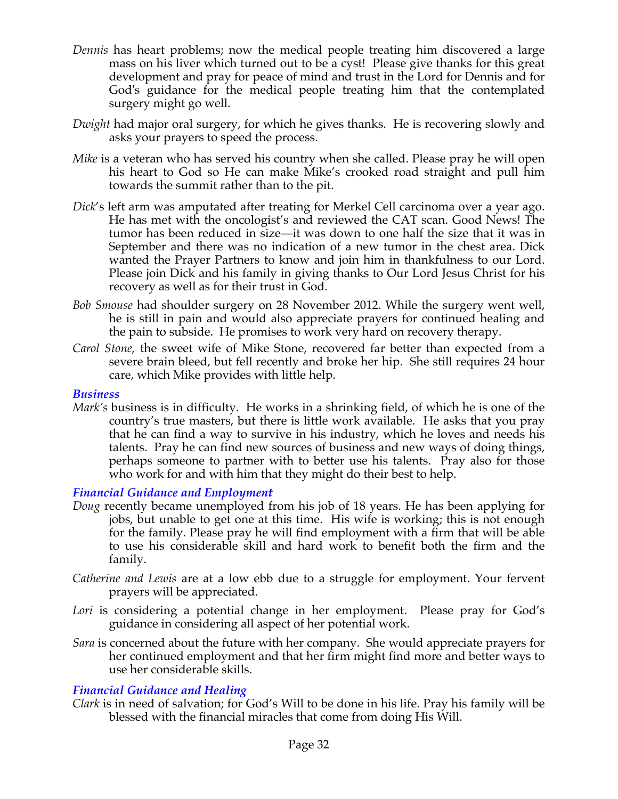- *Dennis* has heart problems; now the medical people treating him discovered a large mass on his liver which turned out to be a cyst! Please give thanks for this great development and pray for peace of mind and trust in the Lord for Dennis and for God's guidance for the medical people treating him that the contemplated surgery might go well.
- *Dwight* had major oral surgery, for which he gives thanks. He is recovering slowly and asks your prayers to speed the process.
- *Mike* is a veteran who has served his country when she called. Please pray he will open his heart to God so He can make Mike's crooked road straight and pull him towards the summit rather than to the pit.
- *Dick*'s left arm was amputated after treating for Merkel Cell carcinoma over a year ago. He has met with the oncologist's and reviewed the CAT scan. Good News! The tumor has been reduced in size—it was down to one half the size that it was in September and there was no indication of a new tumor in the chest area. Dick wanted the Prayer Partners to know and join him in thankfulness to our Lord. Please join Dick and his family in giving thanks to Our Lord Jesus Christ for his recovery as well as for their trust in God.
- *Bob Smouse* had shoulder surgery on 28 November 2012. While the surgery went well, he is still in pain and would also appreciate prayers for continued healing and the pain to subside. He promises to work very hard on recovery therapy.
- *Carol Stone*, the sweet wife of Mike Stone, recovered far better than expected from a severe brain bleed, but fell recently and broke her hip. She still requires 24 hour care, which Mike provides with little help.

#### *Business*

*Mark's* business is in difficulty. He works in a shrinking field, of which he is one of the country's true masters, but there is little work available. He asks that you pray that he can find a way to survive in his industry, which he loves and needs his talents. Pray he can find new sources of business and new ways of doing things, perhaps someone to partner with to better use his talents. Pray also for those who work for and with him that they might do their best to help.

#### *Financial Guidance and Employment*

- *Doug* recently became unemployed from his job of 18 years. He has been applying for jobs, but unable to get one at this time. His wife is working; this is not enough for the family. Please pray he will find employment with a firm that will be able to use his considerable skill and hard work to benefit both the firm and the family.
- *Catherine and Lewis* are at a low ebb due to a struggle for employment. Your fervent prayers will be appreciated.
- Lori is considering a potential change in her employment. Please pray for God's guidance in considering all aspect of her potential work.
- *Sara* is concerned about the future with her company. She would appreciate prayers for her continued employment and that her firm might find more and better ways to use her considerable skills.

#### *Financial Guidance and Healing*

*Clark* is in need of salvation; for God's Will to be done in his life. Pray his family will be blessed with the financial miracles that come from doing His Will.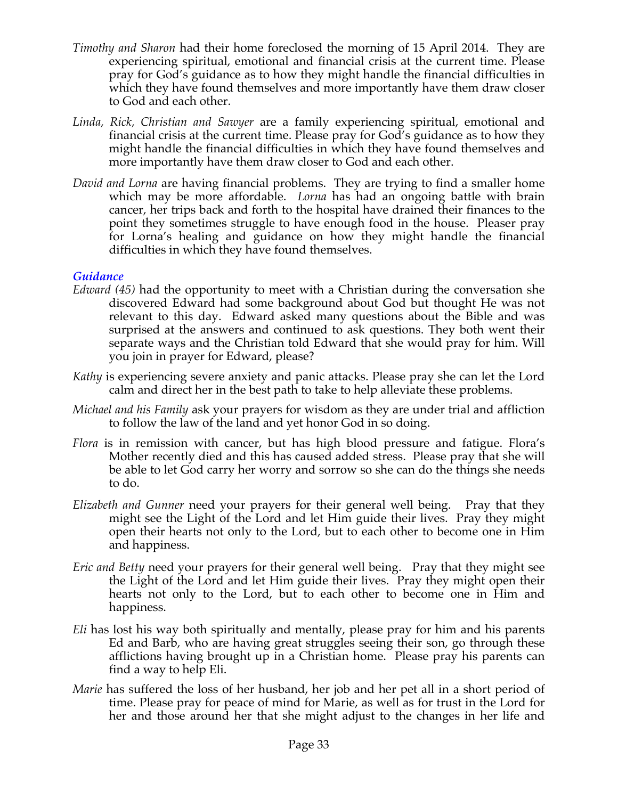- *Timothy and Sharon* had their home foreclosed the morning of 15 April 2014. They are experiencing spiritual, emotional and financial crisis at the current time. Please pray for God's guidance as to how they might handle the financial difficulties in which they have found themselves and more importantly have them draw closer to God and each other.
- *Linda, Rick, Christian and Sawyer* are a family experiencing spiritual, emotional and financial crisis at the current time. Please pray for God's guidance as to how they might handle the financial difficulties in which they have found themselves and more importantly have them draw closer to God and each other.
- *David and Lorna* are having financial problems. They are trying to find a smaller home which may be more affordable. *Lorna* has had an ongoing battle with brain cancer, her trips back and forth to the hospital have drained their finances to the point they sometimes struggle to have enough food in the house. Pleaser pray for Lorna's healing and guidance on how they might handle the financial difficulties in which they have found themselves.

#### *Guidance*

- *Edward (45)* had the opportunity to meet with a Christian during the conversation she discovered Edward had some background about God but thought He was not relevant to this day. Edward asked many questions about the Bible and was surprised at the answers and continued to ask questions. They both went their separate ways and the Christian told Edward that she would pray for him. Will you join in prayer for Edward, please?
- *Kathy* is experiencing severe anxiety and panic attacks. Please pray she can let the Lord calm and direct her in the best path to take to help alleviate these problems.
- *Michael and his Family* ask your prayers for wisdom as they are under trial and affliction to follow the law of the land and yet honor God in so doing.
- *Flora* is in remission with cancer, but has high blood pressure and fatigue. Flora's Mother recently died and this has caused added stress. Please pray that she will be able to let God carry her worry and sorrow so she can do the things she needs to do.
- *Elizabeth and Gunner* need your prayers for their general well being. Pray that they might see the Light of the Lord and let Him guide their lives. Pray they might open their hearts not only to the Lord, but to each other to become one in Him and happiness.
- *Eric and Betty* need your prayers for their general well being. Pray that they might see the Light of the Lord and let Him guide their lives. Pray they might open their hearts not only to the Lord, but to each other to become one in Him and happiness.
- *Eli* has lost his way both spiritually and mentally, please pray for him and his parents Ed and Barb, who are having great struggles seeing their son, go through these afflictions having brought up in a Christian home. Please pray his parents can find a way to help Eli.
- *Marie* has suffered the loss of her husband, her job and her pet all in a short period of time. Please pray for peace of mind for Marie, as well as for trust in the Lord for her and those around her that she might adjust to the changes in her life and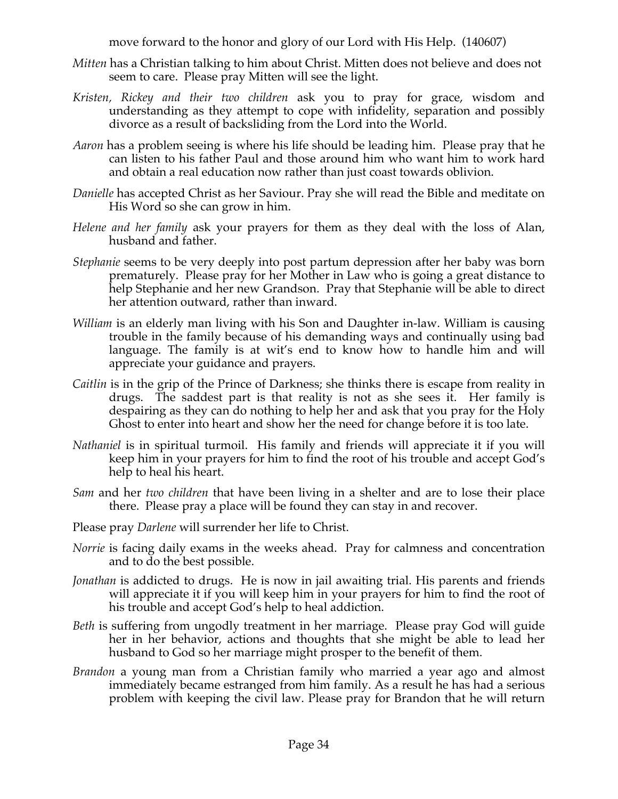move forward to the honor and glory of our Lord with His Help. (140607)

- *Mitten* has a Christian talking to him about Christ. Mitten does not believe and does not seem to care. Please pray Mitten will see the light.
- *Kristen, Rickey and their two children* ask you to pray for grace, wisdom and understanding as they attempt to cope with infidelity, separation and possibly divorce as a result of backsliding from the Lord into the World.
- *Aaron* has a problem seeing is where his life should be leading him. Please pray that he can listen to his father Paul and those around him who want him to work hard and obtain a real education now rather than just coast towards oblivion.
- *Danielle* has accepted Christ as her Saviour. Pray she will read the Bible and meditate on His Word so she can grow in him.
- *Helene and her family* ask your prayers for them as they deal with the loss of Alan, husband and father.
- *Stephanie* seems to be very deeply into post partum depression after her baby was born prematurely. Please pray for her Mother in Law who is going a great distance to help Stephanie and her new Grandson. Pray that Stephanie will be able to direct her attention outward, rather than inward.
- *William* is an elderly man living with his Son and Daughter in-law. William is causing trouble in the family because of his demanding ways and continually using bad language. The family is at wit's end to know how to handle him and will appreciate your guidance and prayers.
- *Caitlin* is in the grip of the Prince of Darkness; she thinks there is escape from reality in drugs. The saddest part is that reality is not as she sees it. Her family is despairing as they can do nothing to help her and ask that you pray for the Holy Ghost to enter into heart and show her the need for change before it is too late.
- *Nathaniel* is in spiritual turmoil. His family and friends will appreciate it if you will keep him in your prayers for him to find the root of his trouble and accept God's help to heal his heart.
- *Sam* and her *two children* that have been living in a shelter and are to lose their place there. Please pray a place will be found they can stay in and recover.
- Please pray *Darlene* will surrender her life to Christ.
- *Norrie* is facing daily exams in the weeks ahead. Pray for calmness and concentration and to do the best possible.
- *Jonathan* is addicted to drugs. He is now in jail awaiting trial. His parents and friends will appreciate it if you will keep him in your prayers for him to find the root of his trouble and accept God's help to heal addiction.
- *Beth* is suffering from ungodly treatment in her marriage. Please pray God will guide her in her behavior, actions and thoughts that she might be able to lead her husband to God so her marriage might prosper to the benefit of them.
- *Brandon* a young man from a Christian family who married a year ago and almost immediately became estranged from him family. As a result he has had a serious problem with keeping the civil law. Please pray for Brandon that he will return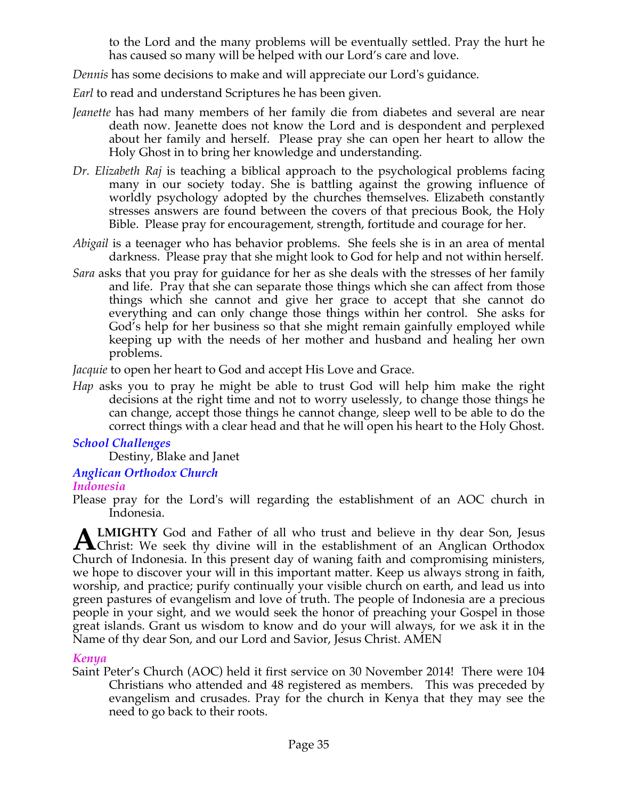to the Lord and the many problems will be eventually settled. Pray the hurt he has caused so many will be helped with our Lord's care and love.

*Dennis* has some decisions to make and will appreciate our Lord's guidance.

*Earl* to read and understand Scriptures he has been given.

- *Jeanette* has had many members of her family die from diabetes and several are near death now. Jeanette does not know the Lord and is despondent and perplexed about her family and herself. Please pray she can open her heart to allow the Holy Ghost in to bring her knowledge and understanding.
- *Dr. Elizabeth Raj* is teaching a biblical approach to the psychological problems facing many in our society today. She is battling against the growing influence of worldly psychology adopted by the churches themselves. Elizabeth constantly stresses answers are found between the covers of that precious Book, the Holy Bible. Please pray for encouragement, strength, fortitude and courage for her.
- *Abigail* is a teenager who has behavior problems. She feels she is in an area of mental darkness. Please pray that she might look to God for help and not within herself.
- *Sara* asks that you pray for guidance for her as she deals with the stresses of her family and life. Pray that she can separate those things which she can affect from those things which she cannot and give her grace to accept that she cannot do everything and can only change those things within her control. She asks for God's help for her business so that she might remain gainfully employed while keeping up with the needs of her mother and husband and healing her own problems.

*Jacquie* to open her heart to God and accept His Love and Grace.

*Hap* asks you to pray he might be able to trust God will help him make the right decisions at the right time and not to worry uselessly, to change those things he can change, accept those things he cannot change, sleep well to be able to do the correct things with a clear head and that he will open his heart to the Holy Ghost.

# *School Challenges*

Destiny, Blake and Janet

# *Anglican Orthodox Church*

#### *Indonesia*

Please pray for the Lord's will regarding the establishment of an AOC church in Indonesia.

**LMIGHTY** God and Father of all who trust and believe in thy dear Son, Jesus **ALMIGHTY** God and Father of all who trust and believe in thy dear Son, Jesus Christ: We seek thy divine will in the establishment of an Anglican Orthodox Church of Indonesia. In this present day of waning faith and compromising ministers, we hope to discover your will in this important matter. Keep us always strong in faith, worship, and practice; purify continually your visible church on earth, and lead us into green pastures of evangelism and love of truth. The people of Indonesia are a precious people in your sight, and we would seek the honor of preaching your Gospel in those great islands. Grant us wisdom to know and do your will always, for we ask it in the Name of thy dear Son, and our Lord and Savior, Jesus Christ. AMEN

#### *Kenya*

Saint Peter's Church (AOC) held it first service on 30 November 2014! There were 104 Christians who attended and 48 registered as members. This was preceded by evangelism and crusades. Pray for the church in Kenya that they may see the need to go back to their roots.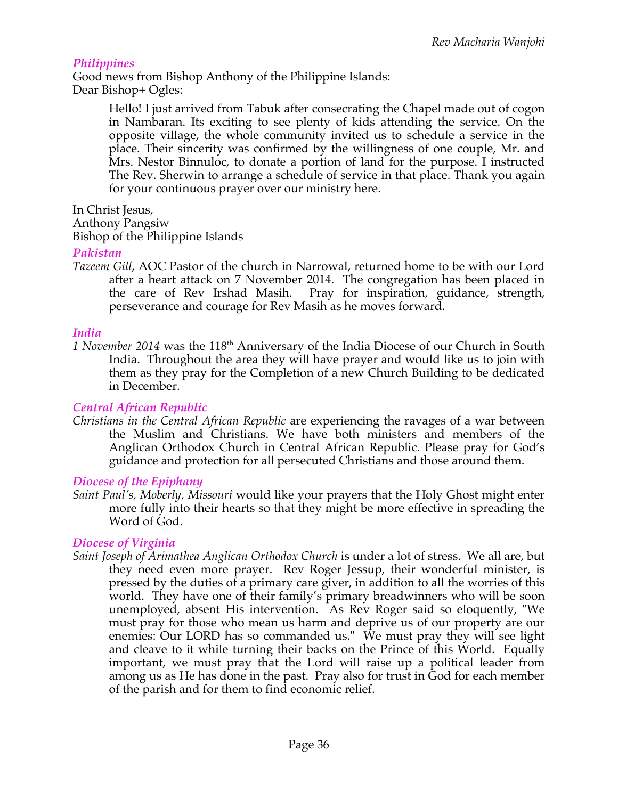#### *Philippines*

Good news from Bishop Anthony of the Philippine Islands: Dear Bishop+ Ogles:

> Hello! I just arrived from Tabuk after consecrating the Chapel made out of cogon in Nambaran. Its exciting to see plenty of kids attending the service. On the opposite village, the whole community invited us to schedule a service in the place. Their sincerity was confirmed by the willingness of one couple, Mr. and Mrs. Nestor Binnuloc, to donate a portion of land for the purpose. I instructed The Rev. Sherwin to arrange a schedule of service in that place. Thank you again for your continuous prayer over our ministry here.

In Christ Jesus,

Anthony Pangsiw

Bishop of the Philippine Islands

#### *Pakistan*

*Tazeem Gill*, AOC Pastor of the church in Narrowal, returned home to be with our Lord after a heart attack on 7 November 2014. The congregation has been placed in the care of Rev Irshad Masih. Pray for inspiration, guidance, strength, perseverance and courage for Rev Masih as he moves forward.

#### *India*

1 November 2014 was the 118<sup>th</sup> Anniversary of the India Diocese of our Church in South India. Throughout the area they will have prayer and would like us to join with them as they pray for the Completion of a new Church Building to be dedicated in December.

#### *Central African Republic*

*Christians in the Central African Republic* are experiencing the ravages of a war between the Muslim and Christians. We have both ministers and members of the Anglican Orthodox Church in Central African Republic. Please pray for God's guidance and protection for all persecuted Christians and those around them.

#### *Diocese of the Epiphany*

*Saint Paul's, Moberly, Missouri* would like your prayers that the Holy Ghost might enter more fully into their hearts so that they might be more effective in spreading the Word of God.

# *Diocese of Virginia*

*Saint Joseph of Arimathea Anglican Orthodox Church* is under a lot of stress. We all are, but they need even more prayer. Rev Roger Jessup, their wonderful minister, is pressed by the duties of a primary care giver, in addition to all the worries of this world. They have one of their family's primary breadwinners who will be soon unemployed, absent His intervention. As Rev Roger said so eloquently, "We must pray for those who mean us harm and deprive us of our property are our enemies: Our LORD has so commanded us." We must pray they will see light and cleave to it while turning their backs on the Prince of this World. Equally important, we must pray that the Lord will raise up a political leader from among us as He has done in the past. Pray also for trust in God for each member of the parish and for them to find economic relief.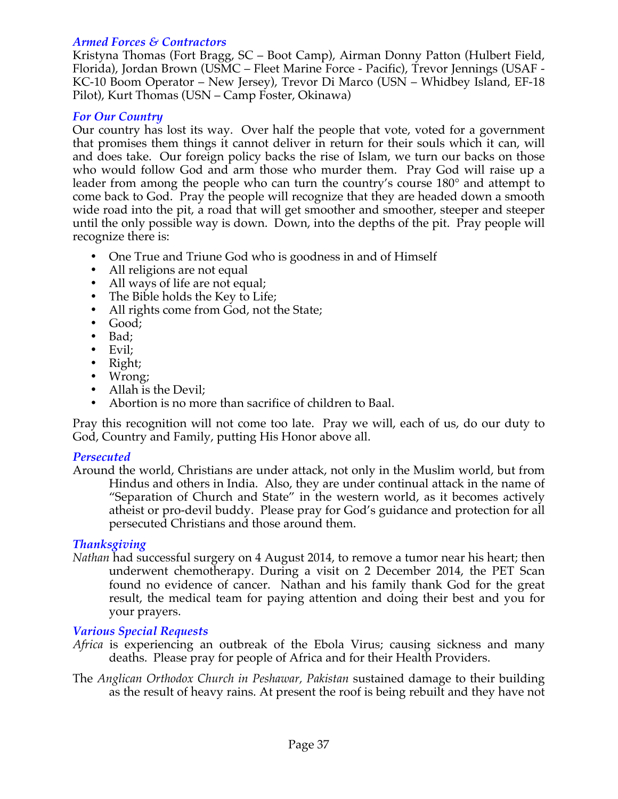#### *Armed Forces & Contractors*

Kristyna Thomas (Fort Bragg, SC – Boot Camp), Airman Donny Patton (Hulbert Field, Florida), Jordan Brown (USMC – Fleet Marine Force - Pacific), Trevor Jennings (USAF - KC-10 Boom Operator – New Jersey), Trevor Di Marco (USN – Whidbey Island, EF-18 Pilot), Kurt Thomas (USN – Camp Foster, Okinawa)

#### *For Our Country*

Our country has lost its way. Over half the people that vote, voted for a government that promises them things it cannot deliver in return for their souls which it can, will and does take. Our foreign policy backs the rise of Islam, we turn our backs on those who would follow God and arm those who murder them. Pray God will raise up a leader from among the people who can turn the country's course 180° and attempt to come back to God. Pray the people will recognize that they are headed down a smooth wide road into the pit, a road that will get smoother and smoother, steeper and steeper until the only possible way is down. Down, into the depths of the pit. Pray people will recognize there is:

- One True and Triune God who is goodness in and of Himself
- All religions are not equal
- All ways of life are not equal;
- The Bible holds the Key to Life;
- All rights come from God, not the State;
- Good;
- Bad;
- Evil;
- Right;
- Wrong;
- Allah is the Devil;
- Abortion is no more than sacrifice of children to Baal.

Pray this recognition will not come too late. Pray we will, each of us, do our duty to God, Country and Family, putting His Honor above all.

#### *Persecuted*

Around the world, Christians are under attack, not only in the Muslim world, but from Hindus and others in India. Also, they are under continual attack in the name of "Separation of Church and State" in the western world, as it becomes actively atheist or pro-devil buddy. Please pray for God's guidance and protection for all persecuted Christians and those around them.

# *Thanksgiving*

*Nathan* had successful surgery on 4 August 2014, to remove a tumor near his heart; then underwent chemotherapy. During a visit on 2 December 2014, the PET Scan found no evidence of cancer. Nathan and his family thank God for the great result, the medical team for paying attention and doing their best and you for your prayers.

#### *Various Special Requests*

- *Africa* is experiencing an outbreak of the Ebola Virus; causing sickness and many deaths. Please pray for people of Africa and for their Health Providers.
- The *Anglican Orthodox Church in Peshawar, Pakistan* sustained damage to their building as the result of heavy rains. At present the roof is being rebuilt and they have not